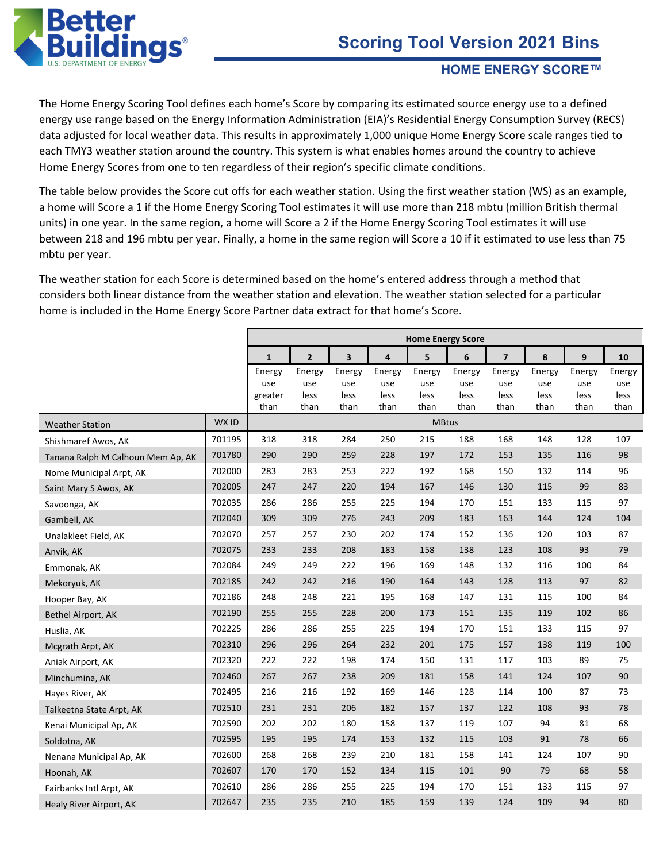

#### **HOME ENERGY SCORE™**

The Home Energy Scoring Tool defines each home's Score by comparing its estimated source energy use to a defined energy use range based on the Energy Information Administration (EIA)'s Residential Energy Consumption Survey (RECS) data adjusted for local weather data. This results in approximately 1,000 unique Home Energy Score scale ranges tied to each TMY3 weather station around the country. This system is what enables homes around the country to achieve Home Energy Scores from one to ten regardless of their region's specific climate conditions.

The table below provides the Score cut offs for each weather station. Using the first weather station (WS) as an example, a home will Score a 1 if the Home Energy Scoring Tool estimates it will use more than 218 mbtu (million British thermal units) in one year. In the same region, a home will Score a 2 if the Home Energy Scoring Tool estimates it will use between 218 and 196 mbtu per year. Finally, a home in the same region will Score a 10 if it estimated to use less than 75 mbtu per year.

The weather station for each Score is determined based on the home's entered address through a method that considers both linear distance from the weather station and elevation. The weather station selected for a particular home is included in the Home Energy Score Partner data extract for that home's Score.

|                                   |        |                 |                |                         |                         | <b>Home Energy Score</b> |              |                |              |              |              |
|-----------------------------------|--------|-----------------|----------------|-------------------------|-------------------------|--------------------------|--------------|----------------|--------------|--------------|--------------|
|                                   |        | $\mathbf{1}$    | $\overline{2}$ | $\overline{\mathbf{3}}$ | $\overline{\mathbf{4}}$ | 5                        | 6            | $\overline{7}$ | 8            | $\mathbf{9}$ | 10           |
|                                   |        | Energy          | Energy         | Energy                  | Energy                  | Energy                   | Energy       | Energy         | Energy       | Energy       | Energy       |
|                                   |        | use             | use            | use                     | use<br>less             | use                      | use          | use            | use          | use<br>less  | use          |
|                                   |        | greater<br>than | less<br>than   | less<br>than            | than                    | less<br>than             | less<br>than | less<br>than   | less<br>than | than         | less<br>than |
| <b>Weather Station</b>            | WX ID  |                 |                |                         |                         | <b>MBtus</b>             |              |                |              |              |              |
| Shishmaref Awos, AK               | 701195 | 318             | 318            | 284                     | 250                     | 215                      | 188          | 168            | 148          | 128          | 107          |
| Tanana Ralph M Calhoun Mem Ap, AK | 701780 | 290             | 290            | 259                     | 228                     | 197                      | 172          | 153            | 135          | 116          | 98           |
| Nome Municipal Arpt, AK           | 702000 | 283             | 283            | 253                     | 222                     | 192                      | 168          | 150            | 132          | 114          | 96           |
| Saint Mary S Awos, AK             | 702005 | 247             | 247            | 220                     | 194                     | 167                      | 146          | 130            | 115          | 99           | 83           |
| Savoonga, AK                      | 702035 | 286             | 286            | 255                     | 225                     | 194                      | 170          | 151            | 133          | 115          | 97           |
| Gambell, AK                       | 702040 | 309             | 309            | 276                     | 243                     | 209                      | 183          | 163            | 144          | 124          | 104          |
| Unalakleet Field, AK              | 702070 | 257             | 257            | 230                     | 202                     | 174                      | 152          | 136            | 120          | 103          | 87           |
| Anvik, AK                         | 702075 | 233             | 233            | 208                     | 183                     | 158                      | 138          | 123            | 108          | 93           | 79           |
| Emmonak, AK                       | 702084 | 249             | 249            | 222                     | 196                     | 169                      | 148          | 132            | 116          | 100          | 84           |
| Mekoryuk, AK                      | 702185 | 242             | 242            | 216                     | 190                     | 164                      | 143          | 128            | 113          | 97           | 82           |
| Hooper Bay, AK                    | 702186 | 248             | 248            | 221                     | 195                     | 168                      | 147          | 131            | 115          | 100          | 84           |
| Bethel Airport, AK                | 702190 | 255             | 255            | 228                     | 200                     | 173                      | 151          | 135            | 119          | 102          | 86           |
| Huslia, AK                        | 702225 | 286             | 286            | 255                     | 225                     | 194                      | 170          | 151            | 133          | 115          | 97           |
| Mcgrath Arpt, AK                  | 702310 | 296             | 296            | 264                     | 232                     | 201                      | 175          | 157            | 138          | 119          | 100          |
| Aniak Airport, AK                 | 702320 | 222             | 222            | 198                     | 174                     | 150                      | 131          | 117            | 103          | 89           | 75           |
| Minchumina, AK                    | 702460 | 267             | 267            | 238                     | 209                     | 181                      | 158          | 141            | 124          | 107          | 90           |
| Hayes River, AK                   | 702495 | 216             | 216            | 192                     | 169                     | 146                      | 128          | 114            | 100          | 87           | 73           |
| Talkeetna State Arpt, AK          | 702510 | 231             | 231            | 206                     | 182                     | 157                      | 137          | 122            | 108          | 93           | 78           |
| Kenai Municipal Ap, AK            | 702590 | 202             | 202            | 180                     | 158                     | 137                      | 119          | 107            | 94           | 81           | 68           |
| Soldotna, AK                      | 702595 | 195             | 195            | 174                     | 153                     | 132                      | 115          | 103            | 91           | 78           | 66           |
| Nenana Municipal Ap, AK           | 702600 | 268             | 268            | 239                     | 210                     | 181                      | 158          | 141            | 124          | 107          | 90           |
| Hoonah, AK                        | 702607 | 170             | 170            | 152                     | 134                     | 115                      | 101          | 90             | 79           | 68           | 58           |
| Fairbanks Intl Arpt, AK           | 702610 | 286             | 286            | 255                     | 225                     | 194                      | 170          | 151            | 133          | 115          | 97           |
| Healy River Airport, AK           | 702647 | 235             | 235            | 210                     | 185                     | 159                      | 139          | 124            | 109          | 94           | 80           |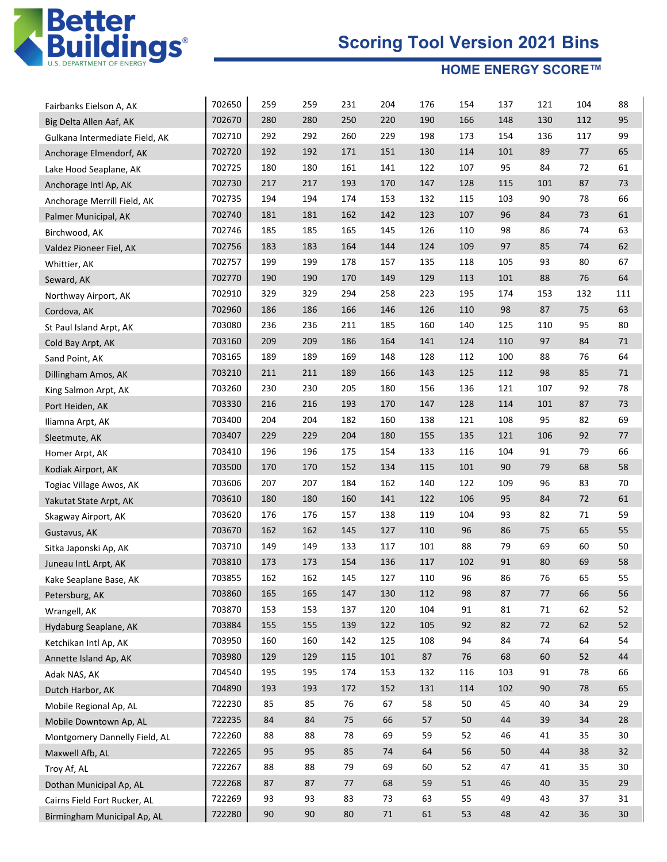

| Fairbanks Eielson A, AK        | 702650 | 259 | 259    | 231 | 204    | 176 | 154    | 137 | 121 | 104 | 88     |
|--------------------------------|--------|-----|--------|-----|--------|-----|--------|-----|-----|-----|--------|
| Big Delta Allen Aaf, AK        | 702670 | 280 | 280    | 250 | 220    | 190 | 166    | 148 | 130 | 112 | 95     |
| Gulkana Intermediate Field, AK | 702710 | 292 | 292    | 260 | 229    | 198 | 173    | 154 | 136 | 117 | 99     |
| Anchorage Elmendorf, AK        | 702720 | 192 | 192    | 171 | 151    | 130 | 114    | 101 | 89  | 77  | 65     |
| Lake Hood Seaplane, AK         | 702725 | 180 | 180    | 161 | 141    | 122 | 107    | 95  | 84  | 72  | 61     |
| Anchorage Intl Ap, AK          | 702730 | 217 | 217    | 193 | 170    | 147 | 128    | 115 | 101 | 87  | 73     |
| Anchorage Merrill Field, AK    | 702735 | 194 | 194    | 174 | 153    | 132 | 115    | 103 | 90  | 78  | 66     |
| Palmer Municipal, AK           | 702740 | 181 | 181    | 162 | 142    | 123 | 107    | 96  | 84  | 73  | 61     |
| Birchwood, AK                  | 702746 | 185 | 185    | 165 | 145    | 126 | 110    | 98  | 86  | 74  | 63     |
| Valdez Pioneer Fiel, AK        | 702756 | 183 | 183    | 164 | 144    | 124 | 109    | 97  | 85  | 74  | 62     |
| Whittier, AK                   | 702757 | 199 | 199    | 178 | 157    | 135 | 118    | 105 | 93  | 80  | 67     |
| Seward, AK                     | 702770 | 190 | 190    | 170 | 149    | 129 | 113    | 101 | 88  | 76  | 64     |
| Northway Airport, AK           | 702910 | 329 | 329    | 294 | 258    | 223 | 195    | 174 | 153 | 132 | 111    |
| Cordova, AK                    | 702960 | 186 | 186    | 166 | 146    | 126 | 110    | 98  | 87  | 75  | 63     |
| St Paul Island Arpt, AK        | 703080 | 236 | 236    | 211 | 185    | 160 | 140    | 125 | 110 | 95  | 80     |
| Cold Bay Arpt, AK              | 703160 | 209 | 209    | 186 | 164    | 141 | 124    | 110 | 97  | 84  | 71     |
| Sand Point, AK                 | 703165 | 189 | 189    | 169 | 148    | 128 | 112    | 100 | 88  | 76  | 64     |
| Dillingham Amos, AK            | 703210 | 211 | 211    | 189 | 166    | 143 | 125    | 112 | 98  | 85  | 71     |
| King Salmon Arpt, AK           | 703260 | 230 | 230    | 205 | 180    | 156 | 136    | 121 | 107 | 92  | 78     |
| Port Heiden, AK                | 703330 | 216 | 216    | 193 | 170    | 147 | 128    | 114 | 101 | 87  | 73     |
| Iliamna Arpt, AK               | 703400 | 204 | 204    | 182 | 160    | 138 | 121    | 108 | 95  | 82  | 69     |
| Sleetmute, AK                  | 703407 | 229 | 229    | 204 | 180    | 155 | 135    | 121 | 106 | 92  | 77     |
| Homer Arpt, AK                 | 703410 | 196 | 196    | 175 | 154    | 133 | 116    | 104 | 91  | 79  | 66     |
| Kodiak Airport, AK             | 703500 | 170 | 170    | 152 | 134    | 115 | 101    | 90  | 79  | 68  | 58     |
| Togiac Village Awos, AK        | 703606 | 207 | 207    | 184 | 162    | 140 | 122    | 109 | 96  | 83  | 70     |
| Yakutat State Arpt, AK         | 703610 | 180 | 180    | 160 | 141    | 122 | 106    | 95  | 84  | 72  | 61     |
| Skagway Airport, AK            | 703620 | 176 | 176    | 157 | 138    | 119 | 104    | 93  | 82  | 71  | 59     |
| Gustavus, AK                   | 703670 | 162 | 162    | 145 | 127    | 110 | 96     | 86  | 75  | 65  | 55     |
| Sitka Japonski Ap, AK          | 703710 | 149 | 149    | 133 | 117    | 101 | 88     | 79  | 69  | 60  | 50     |
| Juneau IntL Arpt, AK           | 703810 | 173 | 173    | 154 | 136    | 117 | 102    | 91  | 80  | 69  | 58     |
| Kake Seaplane Base, AK         | 703855 | 162 | 162    | 145 | 127    | 110 | 96     | 86  | 76  | 65  | 55     |
| Petersburg, AK                 | 703860 | 165 | 165    | 147 | 130    | 112 | 98     | 87  | 77  | 66  | 56     |
| Wrangell, AK                   | 703870 | 153 | 153    | 137 | 120    | 104 | 91     | 81  | 71  | 62  | 52     |
| Hydaburg Seaplane, AK          | 703884 | 155 | 155    | 139 | 122    | 105 | 92     | 82  | 72  | 62  | 52     |
| Ketchikan Intl Ap, AK          | 703950 | 160 | 160    | 142 | 125    | 108 | 94     | 84  | 74  | 64  | 54     |
| Annette Island Ap, AK          | 703980 | 129 | 129    | 115 | 101    | 87  | $76\,$ | 68  | 60  | 52  | 44     |
| Adak NAS, AK                   | 704540 | 195 | 195    | 174 | 153    | 132 | 116    | 103 | 91  | 78  | 66     |
| Dutch Harbor, AK               | 704890 | 193 | 193    | 172 | 152    | 131 | 114    | 102 | 90  | 78  | 65     |
| Mobile Regional Ap, AL         | 722230 | 85  | 85     | 76  | 67     | 58  | 50     | 45  | 40  | 34  | 29     |
| Mobile Downtown Ap, AL         | 722235 | 84  | 84     | 75  | 66     | 57  | 50     | 44  | 39  | 34  | 28     |
| Montgomery Dannelly Field, AL  | 722260 | 88  | 88     | 78  | 69     | 59  | 52     | 46  | 41  | 35  | 30     |
| Maxwell Afb, AL                | 722265 | 95  | 95     | 85  | 74     | 64  | 56     | 50  | 44  | 38  | 32     |
| Troy Af, AL                    | 722267 | 88  | 88     | 79  | 69     | 60  | 52     | 47  | 41  | 35  | 30     |
| Dothan Municipal Ap, AL        | 722268 | 87  | 87     | 77  | 68     | 59  | 51     | 46  | 40  | 35  | 29     |
| Cairns Field Fort Rucker, AL   | 722269 | 93  | 93     | 83  | 73     | 63  | 55     | 49  | 43  | 37  | 31     |
| Birmingham Municipal Ap, AL    | 722280 | 90  | $90\,$ | 80  | $71\,$ | 61  | 53     | 48  | 42  | 36  | $30\,$ |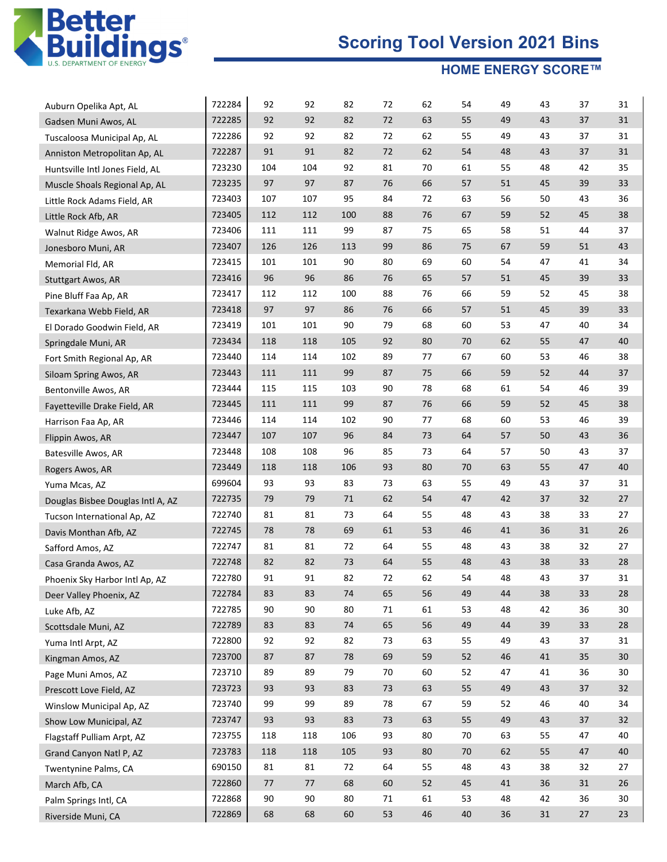

| Auburn Opelika Apt, AL            | 722284 | 92  | 92  | 82     | 72     | 62 | 54     | 49 | 43     | 37 | 31 |
|-----------------------------------|--------|-----|-----|--------|--------|----|--------|----|--------|----|----|
| Gadsen Muni Awos, AL              | 722285 | 92  | 92  | 82     | 72     | 63 | 55     | 49 | 43     | 37 | 31 |
| Tuscaloosa Municipal Ap, AL       | 722286 | 92  | 92  | 82     | 72     | 62 | 55     | 49 | 43     | 37 | 31 |
| Anniston Metropolitan Ap, AL      | 722287 | 91  | 91  | 82     | 72     | 62 | 54     | 48 | 43     | 37 | 31 |
| Huntsville Intl Jones Field, AL   | 723230 | 104 | 104 | 92     | 81     | 70 | 61     | 55 | 48     | 42 | 35 |
| Muscle Shoals Regional Ap, AL     | 723235 | 97  | 97  | 87     | 76     | 66 | 57     | 51 | 45     | 39 | 33 |
| Little Rock Adams Field, AR       | 723403 | 107 | 107 | 95     | 84     | 72 | 63     | 56 | 50     | 43 | 36 |
| Little Rock Afb, AR               | 723405 | 112 | 112 | 100    | 88     | 76 | 67     | 59 | 52     | 45 | 38 |
| Walnut Ridge Awos, AR             | 723406 | 111 | 111 | 99     | 87     | 75 | 65     | 58 | 51     | 44 | 37 |
| Jonesboro Muni, AR                | 723407 | 126 | 126 | 113    | 99     | 86 | 75     | 67 | 59     | 51 | 43 |
| Memorial Fld, AR                  | 723415 | 101 | 101 | 90     | 80     | 69 | 60     | 54 | 47     | 41 | 34 |
| <b>Stuttgart Awos, AR</b>         | 723416 | 96  | 96  | 86     | 76     | 65 | 57     | 51 | 45     | 39 | 33 |
| Pine Bluff Faa Ap, AR             | 723417 | 112 | 112 | 100    | 88     | 76 | 66     | 59 | 52     | 45 | 38 |
| Texarkana Webb Field, AR          | 723418 | 97  | 97  | 86     | 76     | 66 | 57     | 51 | 45     | 39 | 33 |
| El Dorado Goodwin Field, AR       | 723419 | 101 | 101 | 90     | 79     | 68 | 60     | 53 | 47     | 40 | 34 |
| Springdale Muni, AR               | 723434 | 118 | 118 | 105    | 92     | 80 | 70     | 62 | 55     | 47 | 40 |
| Fort Smith Regional Ap, AR        | 723440 | 114 | 114 | 102    | 89     | 77 | 67     | 60 | 53     | 46 | 38 |
| Siloam Spring Awos, AR            | 723443 | 111 | 111 | 99     | 87     | 75 | 66     | 59 | 52     | 44 | 37 |
| Bentonville Awos, AR              | 723444 | 115 | 115 | 103    | 90     | 78 | 68     | 61 | 54     | 46 | 39 |
| Fayetteville Drake Field, AR      | 723445 | 111 | 111 | 99     | 87     | 76 | 66     | 59 | 52     | 45 | 38 |
| Harrison Faa Ap, AR               | 723446 | 114 | 114 | 102    | 90     | 77 | 68     | 60 | 53     | 46 | 39 |
| Flippin Awos, AR                  | 723447 | 107 | 107 | 96     | 84     | 73 | 64     | 57 | 50     | 43 | 36 |
| Batesville Awos, AR               | 723448 | 108 | 108 | 96     | 85     | 73 | 64     | 57 | 50     | 43 | 37 |
| Rogers Awos, AR                   | 723449 | 118 | 118 | 106    | 93     | 80 | 70     | 63 | 55     | 47 | 40 |
| Yuma Mcas, AZ                     | 699604 | 93  | 93  | 83     | 73     | 63 | 55     | 49 | 43     | 37 | 31 |
| Douglas Bisbee Douglas Intl A, AZ | 722735 | 79  | 79  | 71     | 62     | 54 | 47     | 42 | 37     | 32 | 27 |
| Tucson International Ap, AZ       | 722740 | 81  | 81  | 73     | 64     | 55 | 48     | 43 | 38     | 33 | 27 |
| Davis Monthan Afb, AZ             | 722745 | 78  | 78  | 69     | 61     | 53 | 46     | 41 | 36     | 31 | 26 |
| Safford Amos, AZ                  | 722747 | 81  | 81  | 72     | 64     | 55 | 48     | 43 | 38     | 32 | 27 |
| Casa Granda Awos, AZ              | 722748 | 82  | 82  | 73     | 64     | 55 | 48     | 43 | 38     | 33 | 28 |
| Phoenix Sky Harbor Intl Ap, AZ    | 722780 | 91  | 91  | 82     | 72     | 62 | 54     | 48 | 43     | 37 | 31 |
| Deer Valley Phoenix, AZ           | 722784 | 83  | 83  | 74     | 65     | 56 | 49     | 44 | 38     | 33 | 28 |
| Luke Afb, AZ                      | 722785 | 90  | 90  | 80     | 71     | 61 | 53     | 48 | 42     | 36 | 30 |
| Scottsdale Muni, AZ               | 722789 | 83  | 83  | $74\,$ | 65     | 56 | 49     | 44 | 39     | 33 | 28 |
| Yuma Intl Arpt, AZ                | 722800 | 92  | 92  | 82     | 73     | 63 | 55     | 49 | 43     | 37 | 31 |
| Kingman Amos, AZ                  | 723700 | 87  | 87  | 78     | 69     | 59 | 52     | 46 | 41     | 35 | 30 |
| Page Muni Amos, AZ                | 723710 | 89  | 89  | 79     | 70     | 60 | 52     | 47 | 41     | 36 | 30 |
| Prescott Love Field, AZ           | 723723 | 93  | 93  | 83     | $73\,$ | 63 | 55     | 49 | 43     | 37 | 32 |
| Winslow Municipal Ap, AZ          | 723740 | 99  | 99  | 89     | 78     | 67 | 59     | 52 | 46     | 40 | 34 |
| Show Low Municipal, AZ            | 723747 | 93  | 93  | 83     | $73\,$ | 63 | 55     | 49 | 43     | 37 | 32 |
| Flagstaff Pulliam Arpt, AZ        | 723755 | 118 | 118 | 106    | 93     | 80 | 70     | 63 | 55     | 47 | 40 |
| Grand Canyon Natl P, AZ           | 723783 | 118 | 118 | 105    | 93     | 80 | 70     | 62 | 55     | 47 | 40 |
| Twentynine Palms, CA              | 690150 | 81  | 81  | 72     | 64     | 55 | 48     | 43 | 38     | 32 | 27 |
| March Afb, CA                     | 722860 | 77  | 77  | 68     | 60     | 52 | 45     | 41 | 36     | 31 | 26 |
| Palm Springs Intl, CA             | 722868 | 90  | 90  | 80     | 71     | 61 | 53     | 48 | 42     | 36 | 30 |
| Riverside Muni, CA                | 722869 | 68  | 68  | 60     | 53     | 46 | $40\,$ | 36 | $31\,$ | 27 | 23 |
|                                   |        |     |     |        |        |    |        |    |        |    |    |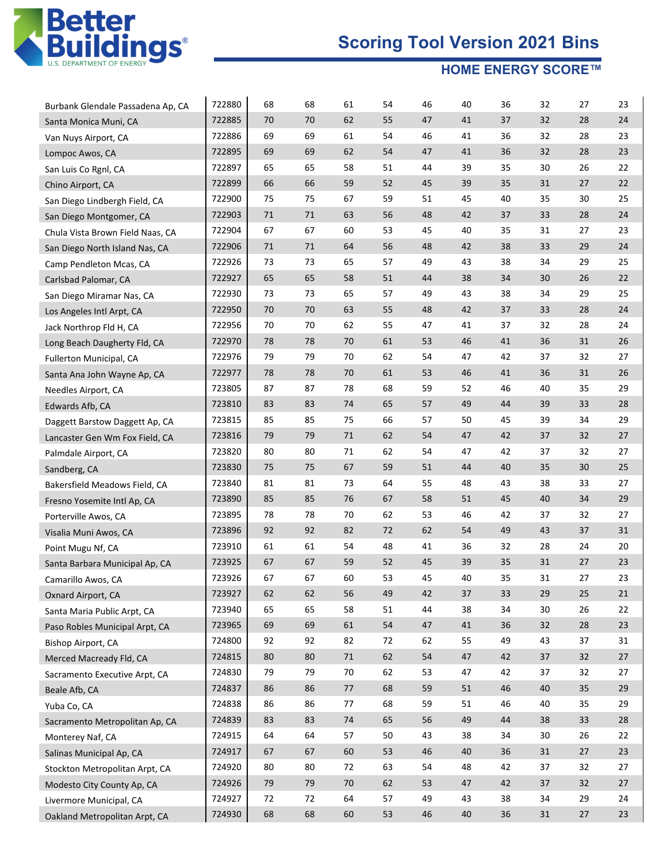

|                                                            | 722880 | 68 | 68     | 61 | 54 | 46 | 40 | 36 | 32     | 27     | 23 |
|------------------------------------------------------------|--------|----|--------|----|----|----|----|----|--------|--------|----|
| Burbank Glendale Passadena Ap, CA<br>Santa Monica Muni, CA | 722885 | 70 | 70     | 62 | 55 | 47 | 41 | 37 | 32     | 28     | 24 |
| Van Nuys Airport, CA                                       | 722886 | 69 | 69     | 61 | 54 | 46 | 41 | 36 | 32     | 28     | 23 |
| Lompoc Awos, CA                                            | 722895 | 69 | 69     | 62 | 54 | 47 | 41 | 36 | 32     | 28     | 23 |
| San Luis Co Rgnl, CA                                       | 722897 | 65 | 65     | 58 | 51 | 44 | 39 | 35 | 30     | 26     | 22 |
| Chino Airport, CA                                          | 722899 | 66 | 66     | 59 | 52 | 45 | 39 | 35 | 31     | 27     | 22 |
| San Diego Lindbergh Field, CA                              | 722900 | 75 | 75     | 67 | 59 | 51 | 45 | 40 | 35     | 30     | 25 |
| San Diego Montgomer, CA                                    | 722903 | 71 | 71     | 63 | 56 | 48 | 42 | 37 | 33     | 28     | 24 |
| Chula Vista Brown Field Naas, CA                           | 722904 | 67 | 67     | 60 | 53 | 45 | 40 | 35 | 31     | 27     | 23 |
| San Diego North Island Nas, CA                             | 722906 | 71 | 71     | 64 | 56 | 48 | 42 | 38 | 33     | 29     | 24 |
| Camp Pendleton Mcas, CA                                    | 722926 | 73 | 73     | 65 | 57 | 49 | 43 | 38 | 34     | 29     | 25 |
| Carlsbad Palomar, CA                                       | 722927 | 65 | 65     | 58 | 51 | 44 | 38 | 34 | 30     | 26     | 22 |
| San Diego Miramar Nas, CA                                  | 722930 | 73 | 73     | 65 | 57 | 49 | 43 | 38 | 34     | 29     | 25 |
| Los Angeles Intl Arpt, CA                                  | 722950 | 70 | 70     | 63 | 55 | 48 | 42 | 37 | 33     | 28     | 24 |
|                                                            | 722956 | 70 | 70     | 62 | 55 | 47 | 41 | 37 | 32     | 28     | 24 |
| Jack Northrop Fld H, CA                                    | 722970 | 78 | 78     | 70 | 61 | 53 | 46 | 41 | 36     | 31     | 26 |
| Long Beach Daugherty Fld, CA                               | 722976 | 79 | 79     | 70 | 62 | 54 | 47 | 42 | 37     | 32     | 27 |
| Fullerton Municipal, CA                                    |        | 78 | 78     | 70 | 61 |    |    | 41 | 36     |        | 26 |
| Santa Ana John Wayne Ap, CA                                | 722977 |    |        |    |    | 53 | 46 |    |        | 31     |    |
| Needles Airport, CA                                        | 723805 | 87 | 87     | 78 | 68 | 59 | 52 | 46 | 40     | 35     | 29 |
| Edwards Afb, CA                                            | 723810 | 83 | 83     | 74 | 65 | 57 | 49 | 44 | 39     | 33     | 28 |
| Daggett Barstow Daggett Ap, CA                             | 723815 | 85 | 85     | 75 | 66 | 57 | 50 | 45 | 39     | 34     | 29 |
| Lancaster Gen Wm Fox Field, CA                             | 723816 | 79 | 79     | 71 | 62 | 54 | 47 | 42 | 37     | 32     | 27 |
| Palmdale Airport, CA                                       | 723820 | 80 | 80     | 71 | 62 | 54 | 47 | 42 | 37     | 32     | 27 |
| Sandberg, CA                                               | 723830 | 75 | 75     | 67 | 59 | 51 | 44 | 40 | 35     | 30     | 25 |
| Bakersfield Meadows Field, CA                              | 723840 | 81 | 81     | 73 | 64 | 55 | 48 | 43 | 38     | 33     | 27 |
| Fresno Yosemite Intl Ap, CA                                | 723890 | 85 | 85     | 76 | 67 | 58 | 51 | 45 | 40     | 34     | 29 |
| Porterville Awos, CA                                       | 723895 | 78 | 78     | 70 | 62 | 53 | 46 | 42 | 37     | 32     | 27 |
| Visalia Muni Awos, CA                                      | 723896 | 92 | 92     | 82 | 72 | 62 | 54 | 49 | 43     | 37     | 31 |
| Point Mugu Nf, CA                                          | 723910 | 61 | 61     | 54 | 48 | 41 | 36 | 32 | 28     | 24     | 20 |
| Santa Barbara Municipal Ap, CA                             | 723925 | 67 | 67     | 59 | 52 | 45 | 39 | 35 | 31     | 27     | 23 |
| Camarillo Awos, CA                                         | 723926 | 67 | 67     | 60 | 53 | 45 | 40 | 35 | 31     | 27     | 23 |
| Oxnard Airport, CA                                         | 723927 | 62 | 62     | 56 | 49 | 42 | 37 | 33 | 29     | $25\,$ | 21 |
| Santa Maria Public Arpt, CA                                | 723940 | 65 | 65     | 58 | 51 | 44 | 38 | 34 | 30     | 26     | 22 |
| Paso Robles Municipal Arpt, CA                             | 723965 | 69 | 69     | 61 | 54 | 47 | 41 | 36 | 32     | 28     | 23 |
| Bishop Airport, CA                                         | 724800 | 92 | 92     | 82 | 72 | 62 | 55 | 49 | 43     | 37     | 31 |
| Merced Macready Fld, CA                                    | 724815 | 80 | 80     | 71 | 62 | 54 | 47 | 42 | 37     | 32     | 27 |
| Sacramento Executive Arpt, CA                              | 724830 | 79 | 79     | 70 | 62 | 53 | 47 | 42 | 37     | 32     | 27 |
| Beale Afb, CA                                              | 724837 | 86 | 86     | 77 | 68 | 59 | 51 | 46 | 40     | 35     | 29 |
| Yuba Co, CA                                                | 724838 | 86 | 86     | 77 | 68 | 59 | 51 | 46 | 40     | 35     | 29 |
| Sacramento Metropolitan Ap, CA                             | 724839 | 83 | 83     | 74 | 65 | 56 | 49 | 44 | 38     | 33     | 28 |
| Monterey Naf, CA                                           | 724915 | 64 | 64     | 57 | 50 | 43 | 38 | 34 | 30     | 26     | 22 |
| Salinas Municipal Ap, CA                                   | 724917 | 67 | 67     | 60 | 53 | 46 | 40 | 36 | 31     | 27     | 23 |
| Stockton Metropolitan Arpt, CA                             | 724920 | 80 | $80\,$ | 72 | 63 | 54 | 48 | 42 | 37     | 32     | 27 |
| Modesto City County Ap, CA                                 | 724926 | 79 | 79     | 70 | 62 | 53 | 47 | 42 | 37     | 32     | 27 |
| Livermore Municipal, CA                                    | 724927 | 72 | 72     | 64 | 57 | 49 | 43 | 38 | 34     | 29     | 24 |
|                                                            | 724930 | 68 | 68     | 60 | 53 | 46 | 40 | 36 | $31\,$ | $27\,$ | 23 |
| Oakland Metropolitan Arpt, CA                              |        |    |        |    |    |    |    |    |        |        |    |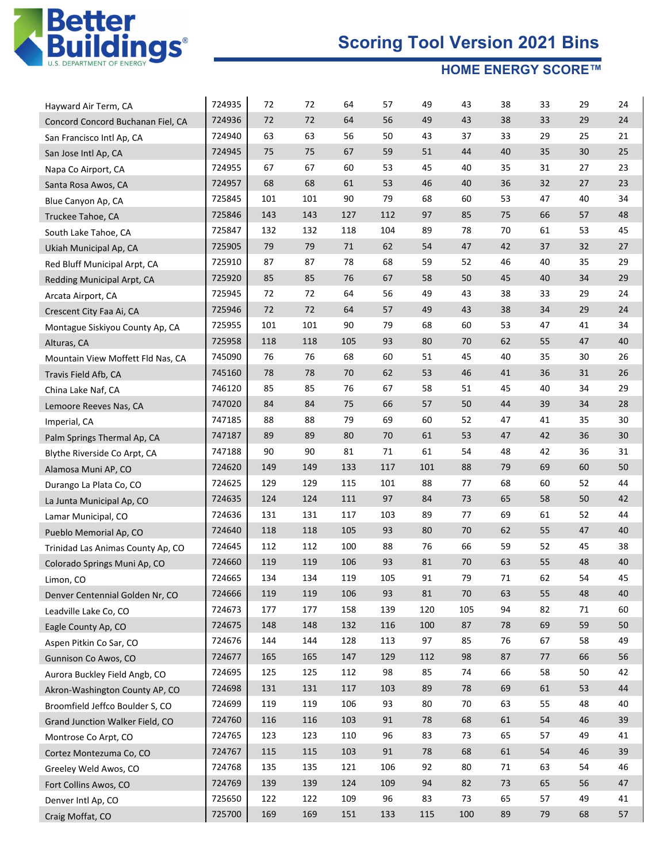

| Hayward Air Term, CA              | 724935 | 72  | 72  | 64  | 57  | 49  | 43  | 38 | 33 | 29     | 24 |
|-----------------------------------|--------|-----|-----|-----|-----|-----|-----|----|----|--------|----|
| Concord Concord Buchanan Fiel, CA | 724936 | 72  | 72  | 64  | 56  | 49  | 43  | 38 | 33 | 29     | 24 |
| San Francisco Intl Ap, CA         | 724940 | 63  | 63  | 56  | 50  | 43  | 37  | 33 | 29 | 25     | 21 |
| San Jose Intl Ap, CA              | 724945 | 75  | 75  | 67  | 59  | 51  | 44  | 40 | 35 | 30     | 25 |
| Napa Co Airport, CA               | 724955 | 67  | 67  | 60  | 53  | 45  | 40  | 35 | 31 | 27     | 23 |
| Santa Rosa Awos, CA               | 724957 | 68  | 68  | 61  | 53  | 46  | 40  | 36 | 32 | 27     | 23 |
| Blue Canyon Ap, CA                | 725845 | 101 | 101 | 90  | 79  | 68  | 60  | 53 | 47 | 40     | 34 |
| Truckee Tahoe, CA                 | 725846 | 143 | 143 | 127 | 112 | 97  | 85  | 75 | 66 | 57     | 48 |
| South Lake Tahoe, CA              | 725847 | 132 | 132 | 118 | 104 | 89  | 78  | 70 | 61 | 53     | 45 |
| Ukiah Municipal Ap, CA            | 725905 | 79  | 79  | 71  | 62  | 54  | 47  | 42 | 37 | 32     | 27 |
| Red Bluff Municipal Arpt, CA      | 725910 | 87  | 87  | 78  | 68  | 59  | 52  | 46 | 40 | 35     | 29 |
| Redding Municipal Arpt, CA        | 725920 | 85  | 85  | 76  | 67  | 58  | 50  | 45 | 40 | 34     | 29 |
| Arcata Airport, CA                | 725945 | 72  | 72  | 64  | 56  | 49  | 43  | 38 | 33 | 29     | 24 |
| Crescent City Faa Ai, CA          | 725946 | 72  | 72  | 64  | 57  | 49  | 43  | 38 | 34 | 29     | 24 |
| Montague Siskiyou County Ap, CA   | 725955 | 101 | 101 | 90  | 79  | 68  | 60  | 53 | 47 | 41     | 34 |
| Alturas, CA                       | 725958 | 118 | 118 | 105 | 93  | 80  | 70  | 62 | 55 | 47     | 40 |
| Mountain View Moffett Fld Nas, CA | 745090 | 76  | 76  | 68  | 60  | 51  | 45  | 40 | 35 | 30     | 26 |
| Travis Field Afb, CA              | 745160 | 78  | 78  | 70  | 62  | 53  | 46  | 41 | 36 | 31     | 26 |
| China Lake Naf, CA                | 746120 | 85  | 85  | 76  | 67  | 58  | 51  | 45 | 40 | 34     | 29 |
| Lemoore Reeves Nas, CA            | 747020 | 84  | 84  | 75  | 66  | 57  | 50  | 44 | 39 | 34     | 28 |
| Imperial, CA                      | 747185 | 88  | 88  | 79  | 69  | 60  | 52  | 47 | 41 | 35     | 30 |
| Palm Springs Thermal Ap, CA       | 747187 | 89  | 89  | 80  | 70  | 61  | 53  | 47 | 42 | 36     | 30 |
| Blythe Riverside Co Arpt, CA      | 747188 | 90  | 90  | 81  | 71  | 61  | 54  | 48 | 42 | 36     | 31 |
| Alamosa Muni AP, CO               | 724620 | 149 | 149 | 133 | 117 | 101 | 88  | 79 | 69 | 60     | 50 |
| Durango La Plata Co, CO           | 724625 | 129 | 129 | 115 | 101 | 88  | 77  | 68 | 60 | 52     | 44 |
| La Junta Municipal Ap, CO         | 724635 | 124 | 124 | 111 | 97  | 84  | 73  | 65 | 58 | $50\,$ | 42 |
| Lamar Municipal, CO               | 724636 | 131 | 131 | 117 | 103 | 89  | 77  | 69 | 61 | 52     | 44 |
| Pueblo Memorial Ap, CO            | 724640 | 118 | 118 | 105 | 93  | 80  | 70  | 62 | 55 | 47     | 40 |
| Trinidad Las Animas County Ap, CO | 724645 | 112 | 112 | 100 | 88  | 76  | 66  | 59 | 52 | 45     | 38 |
| Colorado Springs Muni Ap, CO      | 724660 | 119 | 119 | 106 | 93  | 81  | 70  | 63 | 55 | 48     | 40 |
| Limon, CO                         | 724665 | 134 | 134 | 119 | 105 | 91  | 79  | 71 | 62 | 54     | 45 |
| Denver Centennial Golden Nr, CO   | 724666 | 119 | 119 | 106 | 93  | 81  | 70  | 63 | 55 | 48     | 40 |
| Leadville Lake Co, CO             | 724673 | 177 | 177 | 158 | 139 | 120 | 105 | 94 | 82 | 71     | 60 |
| Eagle County Ap, CO               | 724675 | 148 | 148 | 132 | 116 | 100 | 87  | 78 | 69 | 59     | 50 |
| Aspen Pitkin Co Sar, CO           | 724676 | 144 | 144 | 128 | 113 | 97  | 85  | 76 | 67 | 58     | 49 |
| Gunnison Co Awos, CO              | 724677 | 165 | 165 | 147 | 129 | 112 | 98  | 87 | 77 | 66     | 56 |
| Aurora Buckley Field Angb, CO     | 724695 | 125 | 125 | 112 | 98  | 85  | 74  | 66 | 58 | 50     | 42 |
| Akron-Washington County AP, CO    | 724698 | 131 | 131 | 117 | 103 | 89  | 78  | 69 | 61 | 53     | 44 |
| Broomfield Jeffco Boulder S, CO   | 724699 | 119 | 119 | 106 | 93  | 80  | 70  | 63 | 55 | 48     | 40 |
| Grand Junction Walker Field, CO   | 724760 | 116 | 116 | 103 | 91  | 78  | 68  | 61 | 54 | $46\,$ | 39 |
| Montrose Co Arpt, CO              | 724765 | 123 | 123 | 110 | 96  | 83  | 73  | 65 | 57 | 49     | 41 |
| Cortez Montezuma Co, CO           | 724767 | 115 | 115 | 103 | 91  | 78  | 68  | 61 | 54 | 46     | 39 |
| Greeley Weld Awos, CO             | 724768 | 135 | 135 | 121 | 106 | 92  | 80  | 71 | 63 | 54     | 46 |
| Fort Collins Awos, CO             | 724769 | 139 | 139 | 124 | 109 | 94  | 82  | 73 | 65 | 56     | 47 |
| Denver Intl Ap, CO                | 725650 | 122 | 122 | 109 | 96  | 83  | 73  | 65 | 57 | 49     | 41 |
| Craig Moffat, CO                  | 725700 | 169 | 169 | 151 | 133 | 115 | 100 | 89 | 79 | 68     | 57 |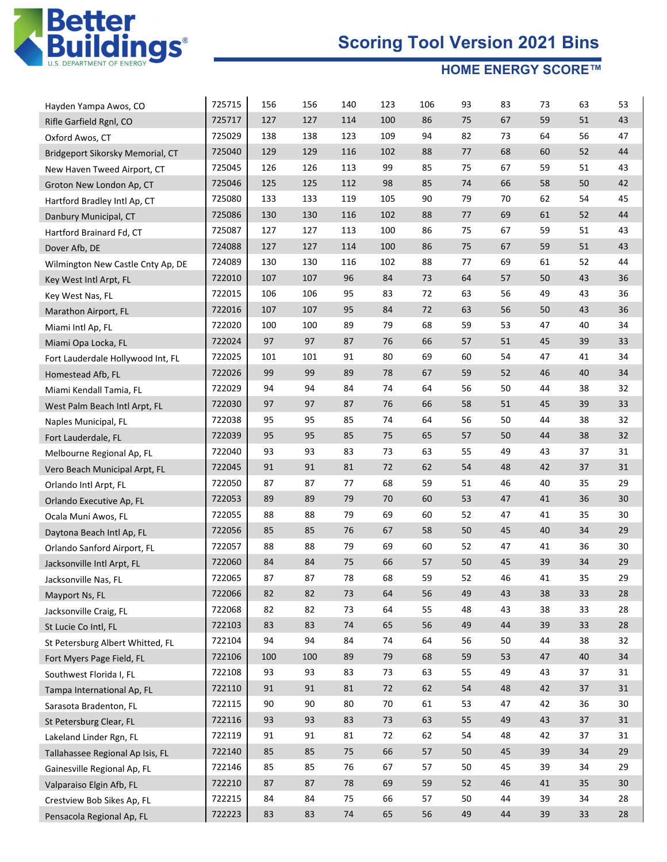

| Hayden Yampa Awos, CO             | 725715 | 156 | 156 | 140    | 123    | 106 | 93 | 83 | 73     | 63 | 53     |
|-----------------------------------|--------|-----|-----|--------|--------|-----|----|----|--------|----|--------|
| Rifle Garfield Rgnl, CO           | 725717 | 127 | 127 | 114    | 100    | 86  | 75 | 67 | 59     | 51 | 43     |
| Oxford Awos, CT                   | 725029 | 138 | 138 | 123    | 109    | 94  | 82 | 73 | 64     | 56 | 47     |
| Bridgeport Sikorsky Memorial, CT  | 725040 | 129 | 129 | 116    | 102    | 88  | 77 | 68 | 60     | 52 | 44     |
| New Haven Tweed Airport, CT       | 725045 | 126 | 126 | 113    | 99     | 85  | 75 | 67 | 59     | 51 | 43     |
| Groton New London Ap, CT          | 725046 | 125 | 125 | 112    | 98     | 85  | 74 | 66 | 58     | 50 | 42     |
| Hartford Bradley Intl Ap, CT      | 725080 | 133 | 133 | 119    | 105    | 90  | 79 | 70 | 62     | 54 | 45     |
| Danbury Municipal, CT             | 725086 | 130 | 130 | 116    | 102    | 88  | 77 | 69 | 61     | 52 | 44     |
| Hartford Brainard Fd, CT          | 725087 | 127 | 127 | 113    | 100    | 86  | 75 | 67 | 59     | 51 | 43     |
| Dover Afb, DE                     | 724088 | 127 | 127 | 114    | 100    | 86  | 75 | 67 | 59     | 51 | 43     |
| Wilmington New Castle Cnty Ap, DE | 724089 | 130 | 130 | 116    | 102    | 88  | 77 | 69 | 61     | 52 | 44     |
| Key West Intl Arpt, FL            | 722010 | 107 | 107 | 96     | 84     | 73  | 64 | 57 | 50     | 43 | 36     |
| Key West Nas, FL                  | 722015 | 106 | 106 | 95     | 83     | 72  | 63 | 56 | 49     | 43 | 36     |
| Marathon Airport, FL              | 722016 | 107 | 107 | 95     | 84     | 72  | 63 | 56 | 50     | 43 | 36     |
| Miami Intl Ap, FL                 | 722020 | 100 | 100 | 89     | 79     | 68  | 59 | 53 | 47     | 40 | 34     |
| Miami Opa Locka, FL               | 722024 | 97  | 97  | 87     | 76     | 66  | 57 | 51 | 45     | 39 | 33     |
| Fort Lauderdale Hollywood Int, FL | 722025 | 101 | 101 | 91     | 80     | 69  | 60 | 54 | 47     | 41 | 34     |
| Homestead Afb, FL                 | 722026 | 99  | 99  | 89     | 78     | 67  | 59 | 52 | 46     | 40 | 34     |
| Miami Kendall Tamia, FL           | 722029 | 94  | 94  | 84     | 74     | 64  | 56 | 50 | 44     | 38 | 32     |
| West Palm Beach Intl Arpt, FL     | 722030 | 97  | 97  | 87     | 76     | 66  | 58 | 51 | 45     | 39 | 33     |
| Naples Municipal, FL              | 722038 | 95  | 95  | 85     | 74     | 64  | 56 | 50 | 44     | 38 | 32     |
| Fort Lauderdale, FL               | 722039 | 95  | 95  | 85     | 75     | 65  | 57 | 50 | 44     | 38 | 32     |
| Melbourne Regional Ap, FL         | 722040 | 93  | 93  | 83     | 73     | 63  | 55 | 49 | 43     | 37 | 31     |
| Vero Beach Municipal Arpt, FL     | 722045 | 91  | 91  | 81     | 72     | 62  | 54 | 48 | 42     | 37 | 31     |
| Orlando Intl Arpt, FL             | 722050 | 87  | 87  | 77     | 68     | 59  | 51 | 46 | 40     | 35 | 29     |
| Orlando Executive Ap, FL          | 722053 | 89  | 89  | 79     | 70     | 60  | 53 | 47 | 41     | 36 | 30     |
| Ocala Muni Awos, FL               | 722055 | 88  | 88  | 79     | 69     | 60  | 52 | 47 | 41     | 35 | 30     |
| Daytona Beach Intl Ap, FL         | 722056 | 85  | 85  | 76     | 67     | 58  | 50 | 45 | 40     | 34 | 29     |
| Orlando Sanford Airport, FL       | 722057 | 88  | 88  | 79     | 69     | 60  | 52 | 47 | 41     | 36 | 30     |
| Jacksonville Intl Arpt, FL        | 722060 | 84  | 84  | 75     | 66     | 57  | 50 | 45 | 39     | 34 | 29     |
| Jacksonville Nas, FL              | 722065 | 87  | 87  | 78     | 68     | 59  | 52 | 46 | 41     | 35 | 29     |
| Mayport Ns, FL                    | 722066 | 82  | 82  | 73     | 64     | 56  | 49 | 43 | 38     | 33 | 28     |
| Jacksonville Craig, FL            | 722068 | 82  | 82  | 73     | 64     | 55  | 48 | 43 | 38     | 33 | 28     |
| St Lucie Co Intl, FL              | 722103 | 83  | 83  | 74     | 65     | 56  | 49 | 44 | 39     | 33 | 28     |
| St Petersburg Albert Whitted, FL  | 722104 | 94  | 94  | 84     | 74     | 64  | 56 | 50 | 44     | 38 | 32     |
| Fort Myers Page Field, FL         | 722106 | 100 | 100 | 89     | 79     | 68  | 59 | 53 | 47     | 40 | 34     |
| Southwest Florida I, FL           | 722108 | 93  | 93  | 83     | 73     | 63  | 55 | 49 | 43     | 37 | 31     |
| Tampa International Ap, FL        | 722110 | 91  | 91  | 81     | 72     | 62  | 54 | 48 | 42     | 37 | 31     |
| Sarasota Bradenton, FL            | 722115 | 90  | 90  | 80     | 70     | 61  | 53 | 47 | 42     | 36 | 30     |
| St Petersburg Clear, FL           | 722116 | 93  | 93  | 83     | $73\,$ | 63  | 55 | 49 | 43     | 37 | 31     |
| Lakeland Linder Rgn, FL           | 722119 | 91  | 91  | 81     | 72     | 62  | 54 | 48 | 42     | 37 | 31     |
| Tallahassee Regional Ap Isis, FL  | 722140 | 85  | 85  | 75     | 66     | 57  | 50 | 45 | 39     | 34 | 29     |
| Gainesville Regional Ap, FL       | 722146 | 85  | 85  | 76     | 67     | 57  | 50 | 45 | 39     | 34 | 29     |
| Valparaiso Elgin Afb, FL          | 722210 | 87  | 87  | 78     | 69     | 59  | 52 | 46 | $41\,$ | 35 | $30\,$ |
| Crestview Bob Sikes Ap, FL        | 722215 | 84  | 84  | 75     | 66     | 57  | 50 | 44 | 39     | 34 | 28     |
| Pensacola Regional Ap, FL         | 722223 | 83  | 83  | $74\,$ | 65     | 56  | 49 | 44 | 39     | 33 | 28     |
|                                   |        |     |     |        |        |     |    |    |        |    |        |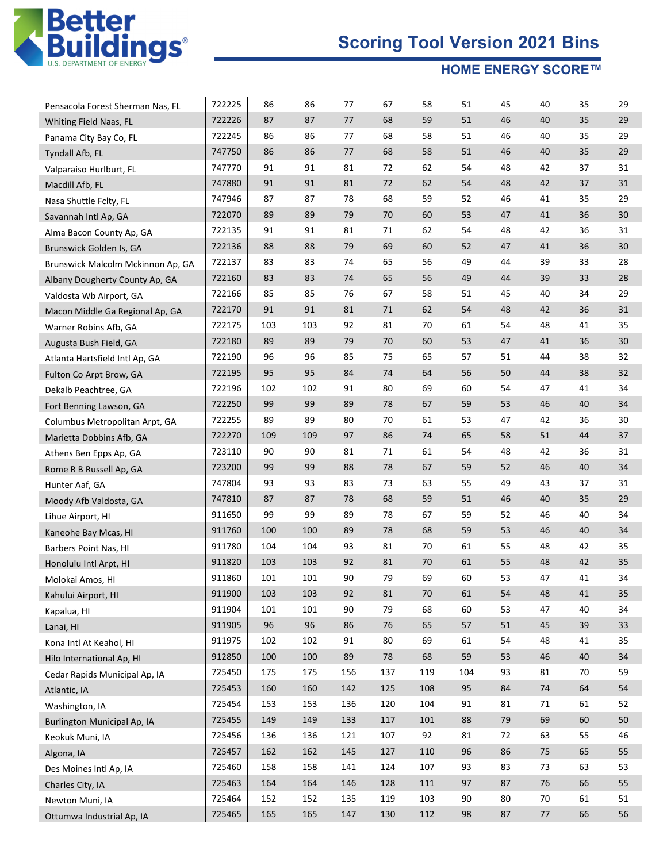

|                                                            | 722225 | 86  | 86  | 77  | 67     | 58  | 51  | 45 | 40 | 35 | 29 |
|------------------------------------------------------------|--------|-----|-----|-----|--------|-----|-----|----|----|----|----|
| Pensacola Forest Sherman Nas, FL<br>Whiting Field Naas, FL | 722226 | 87  | 87  | 77  | 68     | 59  | 51  | 46 | 40 | 35 | 29 |
| Panama City Bay Co, FL                                     | 722245 | 86  | 86  | 77  | 68     | 58  | 51  | 46 | 40 | 35 | 29 |
| Tyndall Afb, FL                                            | 747750 | 86  | 86  | 77  | 68     | 58  | 51  | 46 | 40 | 35 | 29 |
| Valparaiso Hurlburt, FL                                    | 747770 | 91  | 91  | 81  | 72     | 62  | 54  | 48 | 42 | 37 | 31 |
| Macdill Afb, FL                                            | 747880 | 91  | 91  | 81  | 72     | 62  | 54  | 48 | 42 | 37 | 31 |
| Nasa Shuttle Fclty, FL                                     | 747946 | 87  | 87  | 78  | 68     | 59  | 52  | 46 | 41 | 35 | 29 |
| Savannah Intl Ap, GA                                       | 722070 | 89  | 89  | 79  | 70     | 60  | 53  | 47 | 41 | 36 | 30 |
| Alma Bacon County Ap, GA                                   | 722135 | 91  | 91  | 81  | 71     | 62  | 54  | 48 | 42 | 36 | 31 |
| Brunswick Golden Is, GA                                    | 722136 | 88  | 88  | 79  | 69     | 60  | 52  | 47 | 41 | 36 | 30 |
| Brunswick Malcolm Mckinnon Ap, GA                          | 722137 | 83  | 83  | 74  | 65     | 56  | 49  | 44 | 39 | 33 | 28 |
| Albany Dougherty County Ap, GA                             | 722160 | 83  | 83  | 74  | 65     | 56  | 49  | 44 | 39 | 33 | 28 |
| Valdosta Wb Airport, GA                                    | 722166 | 85  | 85  | 76  | 67     | 58  | 51  | 45 | 40 | 34 | 29 |
| Macon Middle Ga Regional Ap, GA                            | 722170 | 91  | 91  | 81  | 71     | 62  | 54  | 48 | 42 | 36 | 31 |
| Warner Robins Afb, GA                                      | 722175 | 103 | 103 | 92  | 81     | 70  | 61  | 54 | 48 | 41 | 35 |
| Augusta Bush Field, GA                                     | 722180 | 89  | 89  | 79  | 70     | 60  | 53  | 47 | 41 | 36 | 30 |
| Atlanta Hartsfield Intl Ap, GA                             | 722190 | 96  | 96  | 85  | 75     | 65  | 57  | 51 | 44 | 38 | 32 |
| Fulton Co Arpt Brow, GA                                    | 722195 | 95  | 95  | 84  | 74     | 64  | 56  | 50 | 44 | 38 | 32 |
| Dekalb Peachtree, GA                                       | 722196 | 102 | 102 | 91  | 80     | 69  | 60  | 54 | 47 | 41 | 34 |
| Fort Benning Lawson, GA                                    | 722250 | 99  | 99  | 89  | 78     | 67  | 59  | 53 | 46 | 40 | 34 |
| Columbus Metropolitan Arpt, GA                             | 722255 | 89  | 89  | 80  | 70     | 61  | 53  | 47 | 42 | 36 | 30 |
| Marietta Dobbins Afb, GA                                   | 722270 | 109 | 109 | 97  | 86     | 74  | 65  | 58 | 51 | 44 | 37 |
| Athens Ben Epps Ap, GA                                     | 723110 | 90  | 90  | 81  | 71     | 61  | 54  | 48 | 42 | 36 | 31 |
| Rome R B Russell Ap, GA                                    | 723200 | 99  | 99  | 88  | 78     | 67  | 59  | 52 | 46 | 40 | 34 |
| Hunter Aaf, GA                                             | 747804 | 93  | 93  | 83  | 73     | 63  | 55  | 49 | 43 | 37 | 31 |
| Moody Afb Valdosta, GA                                     | 747810 | 87  | 87  | 78  | 68     | 59  | 51  | 46 | 40 | 35 | 29 |
| Lihue Airport, HI                                          | 911650 | 99  | 99  | 89  | 78     | 67  | 59  | 52 | 46 | 40 | 34 |
| Kaneohe Bay Mcas, HI                                       | 911760 | 100 | 100 | 89  | 78     | 68  | 59  | 53 | 46 | 40 | 34 |
| Barbers Point Nas, HI                                      | 911780 | 104 | 104 | 93  | 81     | 70  | 61  | 55 | 48 | 42 | 35 |
| Honolulu Intl Arpt, HI                                     | 911820 | 103 | 103 | 92  | 81     | 70  | 61  | 55 | 48 | 42 | 35 |
| Molokai Amos, HI                                           | 911860 | 101 | 101 | 90  | 79     | 69  | 60  | 53 | 47 | 41 | 34 |
| Kahului Airport, HI                                        | 911900 | 103 | 103 | 92  | 81     | 70  | 61  | 54 | 48 | 41 | 35 |
| Kapalua, HI                                                | 911904 | 101 | 101 | 90  | 79     | 68  | 60  | 53 | 47 | 40 | 34 |
| Lanai, HI                                                  | 911905 | 96  | 96  | 86  | $76\,$ | 65  | 57  | 51 | 45 | 39 | 33 |
| Kona Intl At Keahol, HI                                    | 911975 | 102 | 102 | 91  | 80     | 69  | 61  | 54 | 48 | 41 | 35 |
| Hilo International Ap, HI                                  | 912850 | 100 | 100 | 89  | 78     | 68  | 59  | 53 | 46 | 40 | 34 |
| Cedar Rapids Municipal Ap, IA                              | 725450 | 175 | 175 | 156 | 137    | 119 | 104 | 93 | 81 | 70 | 59 |
| Atlantic, IA                                               | 725453 | 160 | 160 | 142 | 125    | 108 | 95  | 84 | 74 | 64 | 54 |
| Washington, IA                                             | 725454 | 153 | 153 | 136 | 120    | 104 | 91  | 81 | 71 | 61 | 52 |
| <b>Burlington Municipal Ap, IA</b>                         | 725455 | 149 | 149 | 133 | 117    | 101 | 88  | 79 | 69 | 60 | 50 |
| Keokuk Muni, IA                                            | 725456 | 136 | 136 | 121 | 107    | 92  | 81  | 72 | 63 | 55 | 46 |
| Algona, IA                                                 | 725457 | 162 | 162 | 145 | 127    | 110 | 96  | 86 | 75 | 65 | 55 |
| Des Moines Intl Ap, IA                                     | 725460 | 158 | 158 | 141 | 124    | 107 | 93  | 83 | 73 | 63 | 53 |
| Charles City, IA                                           | 725463 | 164 | 164 | 146 | 128    | 111 | 97  | 87 | 76 | 66 | 55 |
| Newton Muni, IA                                            | 725464 | 152 | 152 | 135 | 119    | 103 | 90  | 80 | 70 | 61 | 51 |
| Ottumwa Industrial Ap, IA                                  | 725465 | 165 | 165 | 147 | 130    | 112 | 98  | 87 | 77 | 66 | 56 |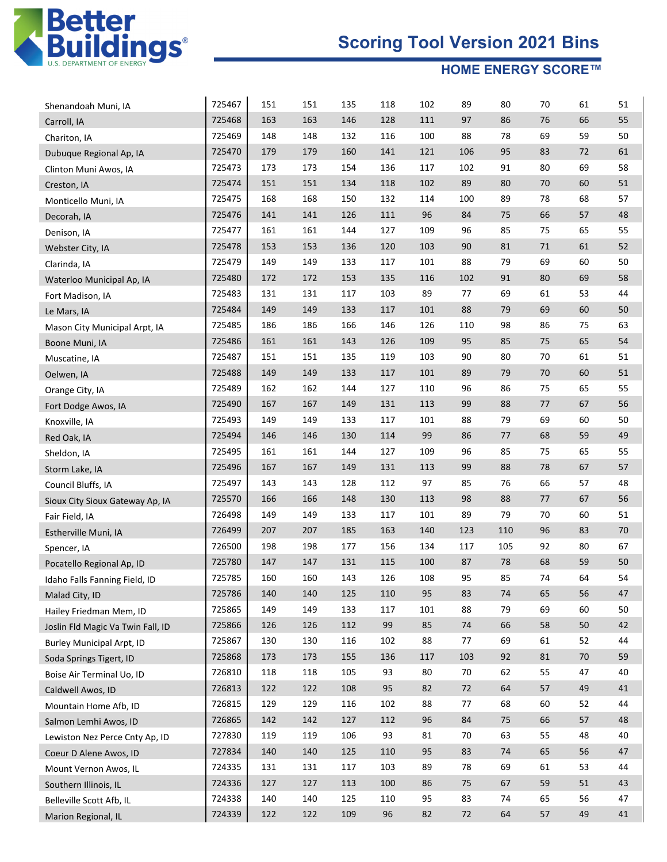

| Shenandoah Muni, IA               | 725467 | 151 | 151 | 135 | 118 | 102 | 89  | 80  | 70     | 61     | 51 |
|-----------------------------------|--------|-----|-----|-----|-----|-----|-----|-----|--------|--------|----|
| Carroll, IA                       | 725468 | 163 | 163 | 146 | 128 | 111 | 97  | 86  | 76     | 66     | 55 |
| Chariton, IA                      | 725469 | 148 | 148 | 132 | 116 | 100 | 88  | 78  | 69     | 59     | 50 |
| Dubuque Regional Ap, IA           | 725470 | 179 | 179 | 160 | 141 | 121 | 106 | 95  | 83     | 72     | 61 |
| Clinton Muni Awos, IA             | 725473 | 173 | 173 | 154 | 136 | 117 | 102 | 91  | 80     | 69     | 58 |
| Creston, IA                       | 725474 | 151 | 151 | 134 | 118 | 102 | 89  | 80  | 70     | 60     | 51 |
| Monticello Muni, IA               | 725475 | 168 | 168 | 150 | 132 | 114 | 100 | 89  | 78     | 68     | 57 |
| Decorah, IA                       | 725476 | 141 | 141 | 126 | 111 | 96  | 84  | 75  | 66     | 57     | 48 |
| Denison, IA                       | 725477 | 161 | 161 | 144 | 127 | 109 | 96  | 85  | 75     | 65     | 55 |
| Webster City, IA                  | 725478 | 153 | 153 | 136 | 120 | 103 | 90  | 81  | $71\,$ | 61     | 52 |
| Clarinda, IA                      | 725479 | 149 | 149 | 133 | 117 | 101 | 88  | 79  | 69     | 60     | 50 |
| Waterloo Municipal Ap, IA         | 725480 | 172 | 172 | 153 | 135 | 116 | 102 | 91  | 80     | 69     | 58 |
| Fort Madison, IA                  | 725483 | 131 | 131 | 117 | 103 | 89  | 77  | 69  | 61     | 53     | 44 |
| Le Mars, IA                       | 725484 | 149 | 149 | 133 | 117 | 101 | 88  | 79  | 69     | 60     | 50 |
| Mason City Municipal Arpt, IA     | 725485 | 186 | 186 | 166 | 146 | 126 | 110 | 98  | 86     | 75     | 63 |
| Boone Muni, IA                    | 725486 | 161 | 161 | 143 | 126 | 109 | 95  | 85  | 75     | 65     | 54 |
| Muscatine, IA                     | 725487 | 151 | 151 | 135 | 119 | 103 | 90  | 80  | 70     | 61     | 51 |
| Oelwen, IA                        | 725488 | 149 | 149 | 133 | 117 | 101 | 89  | 79  | 70     | 60     | 51 |
| Orange City, IA                   | 725489 | 162 | 162 | 144 | 127 | 110 | 96  | 86  | 75     | 65     | 55 |
| Fort Dodge Awos, IA               | 725490 | 167 | 167 | 149 | 131 | 113 | 99  | 88  | 77     | 67     | 56 |
| Knoxville, IA                     | 725493 | 149 | 149 | 133 | 117 | 101 | 88  | 79  | 69     | 60     | 50 |
| Red Oak, IA                       | 725494 | 146 | 146 | 130 | 114 | 99  | 86  | 77  | 68     | 59     | 49 |
| Sheldon, IA                       | 725495 | 161 | 161 | 144 | 127 | 109 | 96  | 85  | 75     | 65     | 55 |
| Storm Lake, IA                    | 725496 | 167 | 167 | 149 | 131 | 113 | 99  | 88  | 78     | 67     | 57 |
| Council Bluffs, IA                | 725497 | 143 | 143 | 128 | 112 | 97  | 85  | 76  | 66     | 57     | 48 |
| Sioux City Sioux Gateway Ap, IA   | 725570 | 166 | 166 | 148 | 130 | 113 | 98  | 88  | 77     | 67     | 56 |
| Fair Field, IA                    | 726498 | 149 | 149 | 133 | 117 | 101 | 89  | 79  | 70     | 60     | 51 |
| Estherville Muni, IA              | 726499 | 207 | 207 | 185 | 163 | 140 | 123 | 110 | 96     | 83     | 70 |
| Spencer, IA                       | 726500 | 198 | 198 | 177 | 156 | 134 | 117 | 105 | 92     | 80     | 67 |
| Pocatello Regional Ap, ID         | 725780 | 147 | 147 | 131 | 115 | 100 | 87  | 78  | 68     | 59     | 50 |
| Idaho Falls Fanning Field, ID     | 725785 | 160 | 160 | 143 | 126 | 108 | 95  | 85  | 74     | 64     | 54 |
| Malad City, ID                    | 725786 | 140 | 140 | 125 | 110 | 95  | 83  | 74  | 65     | 56     | 47 |
| Hailey Friedman Mem, ID           | 725865 | 149 | 149 | 133 | 117 | 101 | 88  | 79  | 69     | 60     | 50 |
| Joslin Fld Magic Va Twin Fall, ID | 725866 | 126 | 126 | 112 | 99  | 85  | 74  | 66  | 58     | $50\,$ | 42 |
| <b>Burley Municipal Arpt, ID</b>  | 725867 | 130 | 130 | 116 | 102 | 88  | 77  | 69  | 61     | 52     | 44 |
| Soda Springs Tigert, ID           | 725868 | 173 | 173 | 155 | 136 | 117 | 103 | 92  | 81     | $70$   | 59 |
| Boise Air Terminal Uo, ID         | 726810 | 118 | 118 | 105 | 93  | 80  | 70  | 62  | 55     | 47     | 40 |
| Caldwell Awos, ID                 | 726813 | 122 | 122 | 108 | 95  | 82  | 72  | 64  | 57     | 49     | 41 |
| Mountain Home Afb, ID             | 726815 | 129 | 129 | 116 | 102 | 88  | 77  | 68  | 60     | 52     | 44 |
| Salmon Lemhi Awos, ID             | 726865 | 142 | 142 | 127 | 112 | 96  | 84  | 75  | 66     | 57     | 48 |
| Lewiston Nez Perce Cnty Ap, ID    | 727830 | 119 | 119 | 106 | 93  | 81  | 70  | 63  | 55     | 48     | 40 |
| Coeur D Alene Awos, ID            | 727834 | 140 | 140 | 125 | 110 | 95  | 83  | 74  | 65     | 56     | 47 |
| Mount Vernon Awos, IL             | 724335 | 131 | 131 | 117 | 103 | 89  | 78  | 69  | 61     | 53     | 44 |
| Southern Illinois, IL             | 724336 | 127 | 127 | 113 | 100 | 86  | 75  | 67  | 59     | 51     | 43 |
| Belleville Scott Afb, IL          | 724338 | 140 | 140 | 125 | 110 | 95  | 83  | 74  | 65     | 56     | 47 |
| Marion Regional, IL               | 724339 | 122 | 122 | 109 | 96  | 82  | 72  | 64  | 57     | 49     | 41 |
|                                   |        |     |     |     |     |     |     |     |        |        |    |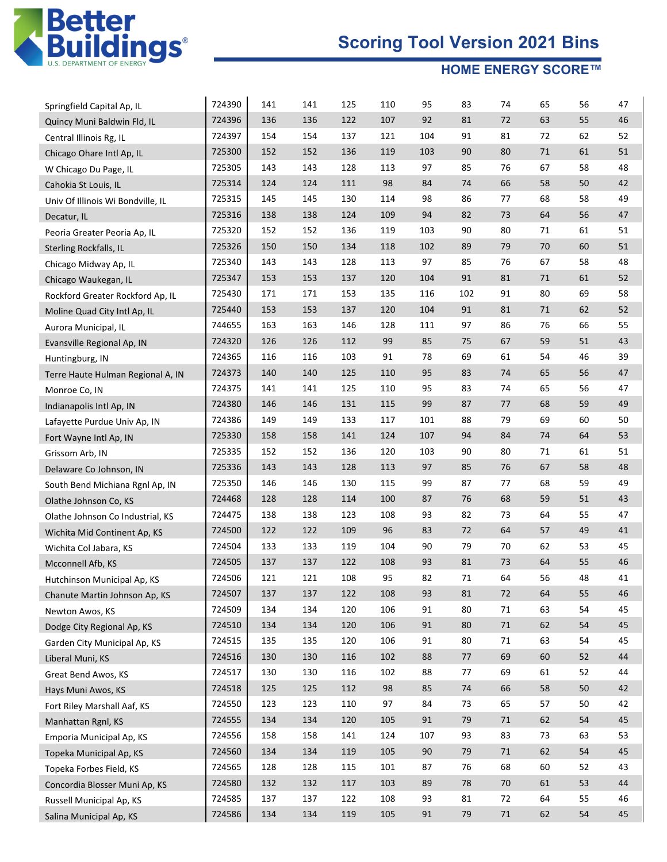

| Springfield Capital Ap, IL        | 724390 | 141 | 141 | 125 | 110 | 95  | 83  | 74 | 65     | 56     | 47 |
|-----------------------------------|--------|-----|-----|-----|-----|-----|-----|----|--------|--------|----|
| Quincy Muni Baldwin Fld, IL       | 724396 | 136 | 136 | 122 | 107 | 92  | 81  | 72 | 63     | 55     | 46 |
| Central Illinois Rg, IL           | 724397 | 154 | 154 | 137 | 121 | 104 | 91  | 81 | 72     | 62     | 52 |
| Chicago Ohare Intl Ap, IL         | 725300 | 152 | 152 | 136 | 119 | 103 | 90  | 80 | $71\,$ | 61     | 51 |
| W Chicago Du Page, IL             | 725305 | 143 | 143 | 128 | 113 | 97  | 85  | 76 | 67     | 58     | 48 |
| Cahokia St Louis, IL              | 725314 | 124 | 124 | 111 | 98  | 84  | 74  | 66 | 58     | 50     | 42 |
| Univ Of Illinois Wi Bondville, IL | 725315 | 145 | 145 | 130 | 114 | 98  | 86  | 77 | 68     | 58     | 49 |
| Decatur, IL                       | 725316 | 138 | 138 | 124 | 109 | 94  | 82  | 73 | 64     | 56     | 47 |
| Peoria Greater Peoria Ap, IL      | 725320 | 152 | 152 | 136 | 119 | 103 | 90  | 80 | 71     | 61     | 51 |
| <b>Sterling Rockfalls, IL</b>     | 725326 | 150 | 150 | 134 | 118 | 102 | 89  | 79 | 70     | 60     | 51 |
| Chicago Midway Ap, IL             | 725340 | 143 | 143 | 128 | 113 | 97  | 85  | 76 | 67     | 58     | 48 |
| Chicago Waukegan, IL              | 725347 | 153 | 153 | 137 | 120 | 104 | 91  | 81 | 71     | 61     | 52 |
| Rockford Greater Rockford Ap, IL  | 725430 | 171 | 171 | 153 | 135 | 116 | 102 | 91 | 80     | 69     | 58 |
| Moline Quad City Intl Ap, IL      | 725440 | 153 | 153 | 137 | 120 | 104 | 91  | 81 | 71     | 62     | 52 |
| Aurora Municipal, IL              | 744655 | 163 | 163 | 146 | 128 | 111 | 97  | 86 | 76     | 66     | 55 |
| Evansville Regional Ap, IN        | 724320 | 126 | 126 | 112 | 99  | 85  | 75  | 67 | 59     | 51     | 43 |
| Huntingburg, IN                   | 724365 | 116 | 116 | 103 | 91  | 78  | 69  | 61 | 54     | 46     | 39 |
| Terre Haute Hulman Regional A, IN | 724373 | 140 | 140 | 125 | 110 | 95  | 83  | 74 | 65     | 56     | 47 |
| Monroe Co, IN                     | 724375 | 141 | 141 | 125 | 110 | 95  | 83  | 74 | 65     | 56     | 47 |
| Indianapolis Intl Ap, IN          | 724380 | 146 | 146 | 131 | 115 | 99  | 87  | 77 | 68     | 59     | 49 |
| Lafayette Purdue Univ Ap, IN      | 724386 | 149 | 149 | 133 | 117 | 101 | 88  | 79 | 69     | 60     | 50 |
| Fort Wayne Intl Ap, IN            | 725330 | 158 | 158 | 141 | 124 | 107 | 94  | 84 | 74     | 64     | 53 |
| Grissom Arb, IN                   | 725335 | 152 | 152 | 136 | 120 | 103 | 90  | 80 | 71     | 61     | 51 |
| Delaware Co Johnson, IN           | 725336 | 143 | 143 | 128 | 113 | 97  | 85  | 76 | 67     | 58     | 48 |
| South Bend Michiana Rgnl Ap, IN   | 725350 | 146 | 146 | 130 | 115 | 99  | 87  | 77 | 68     | 59     | 49 |
| Olathe Johnson Co, KS             | 724468 | 128 | 128 | 114 | 100 | 87  | 76  | 68 | 59     | 51     | 43 |
| Olathe Johnson Co Industrial, KS  | 724475 | 138 | 138 | 123 | 108 | 93  | 82  | 73 | 64     | 55     | 47 |
| Wichita Mid Continent Ap, KS      | 724500 | 122 | 122 | 109 | 96  | 83  | 72  | 64 | 57     | 49     | 41 |
| Wichita Col Jabara, KS            | 724504 | 133 | 133 | 119 | 104 | 90  | 79  | 70 | 62     | 53     | 45 |
| Mcconnell Afb, KS                 | 724505 | 137 | 137 | 122 | 108 | 93  | 81  | 73 | 64     | 55     | 46 |
| Hutchinson Municipal Ap, KS       | 724506 | 121 | 121 | 108 | 95  | 82  | 71  | 64 | 56     | 48     | 41 |
| Chanute Martin Johnson Ap, KS     | 724507 | 137 | 137 | 122 | 108 | 93  | 81  | 72 | 64     | 55     | 46 |
| Newton Awos, KS                   | 724509 | 134 | 134 | 120 | 106 | 91  | 80  | 71 | 63     | 54     | 45 |
| Dodge City Regional Ap, KS        | 724510 | 134 | 134 | 120 | 106 | 91  | 80  | 71 | 62     | 54     | 45 |
| Garden City Municipal Ap, KS      | 724515 | 135 | 135 | 120 | 106 | 91  | 80  | 71 | 63     | 54     | 45 |
| Liberal Muni, KS                  | 724516 | 130 | 130 | 116 | 102 | 88  | 77  | 69 | 60     | 52     | 44 |
| Great Bend Awos, KS               | 724517 | 130 | 130 | 116 | 102 | 88  | 77  | 69 | 61     | 52     | 44 |
| Hays Muni Awos, KS                | 724518 | 125 | 125 | 112 | 98  | 85  | 74  | 66 | 58     | $50\,$ | 42 |
| Fort Riley Marshall Aaf, KS       | 724550 | 123 | 123 | 110 | 97  | 84  | 73  | 65 | 57     | 50     | 42 |
| Manhattan Rgnl, KS                | 724555 | 134 | 134 | 120 | 105 | 91  | 79  | 71 | 62     | 54     | 45 |
| Emporia Municipal Ap, KS          | 724556 | 158 | 158 | 141 | 124 | 107 | 93  | 83 | 73     | 63     | 53 |
| Topeka Municipal Ap, KS           | 724560 | 134 | 134 | 119 | 105 | 90  | 79  | 71 | 62     | 54     | 45 |
| Topeka Forbes Field, KS           | 724565 | 128 | 128 | 115 | 101 | 87  | 76  | 68 | 60     | 52     | 43 |
| Concordia Blosser Muni Ap, KS     | 724580 | 132 | 132 | 117 | 103 | 89  | 78  | 70 | 61     | 53     | 44 |
| Russell Municipal Ap, KS          | 724585 | 137 | 137 | 122 | 108 | 93  | 81  | 72 | 64     | 55     | 46 |
| Salina Municipal Ap, KS           | 724586 | 134 | 134 | 119 | 105 | 91  | 79  | 71 | 62     | 54     | 45 |
|                                   |        |     |     |     |     |     |     |    |        |        |    |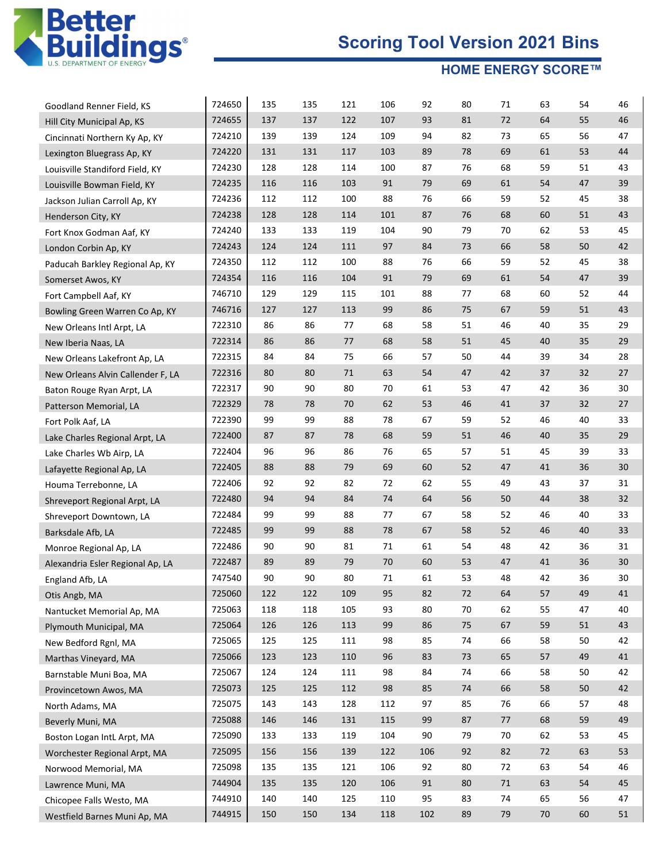

| Goodland Renner Field, KS         | 724650 | 135 | 135 | 121 | 106 | 92  | 80 | 71 | 63     | 54 | 46 |
|-----------------------------------|--------|-----|-----|-----|-----|-----|----|----|--------|----|----|
| Hill City Municipal Ap, KS        | 724655 | 137 | 137 | 122 | 107 | 93  | 81 | 72 | 64     | 55 | 46 |
| Cincinnati Northern Ky Ap, KY     | 724210 | 139 | 139 | 124 | 109 | 94  | 82 | 73 | 65     | 56 | 47 |
| Lexington Bluegrass Ap, KY        | 724220 | 131 | 131 | 117 | 103 | 89  | 78 | 69 | 61     | 53 | 44 |
| Louisville Standiford Field, KY   | 724230 | 128 | 128 | 114 | 100 | 87  | 76 | 68 | 59     | 51 | 43 |
| Louisville Bowman Field, KY       | 724235 | 116 | 116 | 103 | 91  | 79  | 69 | 61 | 54     | 47 | 39 |
| Jackson Julian Carroll Ap, KY     | 724236 | 112 | 112 | 100 | 88  | 76  | 66 | 59 | 52     | 45 | 38 |
| Henderson City, KY                | 724238 | 128 | 128 | 114 | 101 | 87  | 76 | 68 | 60     | 51 | 43 |
| Fort Knox Godman Aaf, KY          | 724240 | 133 | 133 | 119 | 104 | 90  | 79 | 70 | 62     | 53 | 45 |
| London Corbin Ap, KY              | 724243 | 124 | 124 | 111 | 97  | 84  | 73 | 66 | 58     | 50 | 42 |
| Paducah Barkley Regional Ap, KY   | 724350 | 112 | 112 | 100 | 88  | 76  | 66 | 59 | 52     | 45 | 38 |
| Somerset Awos, KY                 | 724354 | 116 | 116 | 104 | 91  | 79  | 69 | 61 | 54     | 47 | 39 |
| Fort Campbell Aaf, KY             | 746710 | 129 | 129 | 115 | 101 | 88  | 77 | 68 | 60     | 52 | 44 |
| Bowling Green Warren Co Ap, KY    | 746716 | 127 | 127 | 113 | 99  | 86  | 75 | 67 | 59     | 51 | 43 |
| New Orleans Intl Arpt, LA         | 722310 | 86  | 86  | 77  | 68  | 58  | 51 | 46 | 40     | 35 | 29 |
| New Iberia Naas, LA               | 722314 | 86  | 86  | 77  | 68  | 58  | 51 | 45 | 40     | 35 | 29 |
| New Orleans Lakefront Ap, LA      | 722315 | 84  | 84  | 75  | 66  | 57  | 50 | 44 | 39     | 34 | 28 |
| New Orleans Alvin Callender F, LA | 722316 | 80  | 80  | 71  | 63  | 54  | 47 | 42 | 37     | 32 | 27 |
| Baton Rouge Ryan Arpt, LA         | 722317 | 90  | 90  | 80  | 70  | 61  | 53 | 47 | 42     | 36 | 30 |
| Patterson Memorial, LA            | 722329 | 78  | 78  | 70  | 62  | 53  | 46 | 41 | 37     | 32 | 27 |
| Fort Polk Aaf, LA                 | 722390 | 99  | 99  | 88  | 78  | 67  | 59 | 52 | 46     | 40 | 33 |
| Lake Charles Regional Arpt, LA    | 722400 | 87  | 87  | 78  | 68  | 59  | 51 | 46 | 40     | 35 | 29 |
| Lake Charles Wb Airp, LA          | 722404 | 96  | 96  | 86  | 76  | 65  | 57 | 51 | 45     | 39 | 33 |
| Lafayette Regional Ap, LA         | 722405 | 88  | 88  | 79  | 69  | 60  | 52 | 47 | 41     | 36 | 30 |
| Houma Terrebonne, LA              | 722406 | 92  | 92  | 82  | 72  | 62  | 55 | 49 | 43     | 37 | 31 |
| Shreveport Regional Arpt, LA      | 722480 | 94  | 94  | 84  | 74  | 64  | 56 | 50 | 44     | 38 | 32 |
| Shreveport Downtown, LA           | 722484 | 99  | 99  | 88  | 77  | 67  | 58 | 52 | 46     | 40 | 33 |
| Barksdale Afb, LA                 | 722485 | 99  | 99  | 88  | 78  | 67  | 58 | 52 | 46     | 40 | 33 |
| Monroe Regional Ap, LA            | 722486 | 90  | 90  | 81  | 71  | 61  | 54 | 48 | 42     | 36 | 31 |
| Alexandria Esler Regional Ap, LA  | 722487 | 89  | 89  | 79  | 70  | 60  | 53 | 47 | 41     | 36 | 30 |
| England Afb, LA                   | 747540 | 90  | 90  | 80  | 71  | 61  | 53 | 48 | 42     | 36 | 30 |
| Otis Angb, MA                     | 725060 | 122 | 122 | 109 | 95  | 82  | 72 | 64 | 57     | 49 | 41 |
| Nantucket Memorial Ap, MA         | 725063 | 118 | 118 | 105 | 93  | 80  | 70 | 62 | 55     | 47 | 40 |
| Plymouth Municipal, MA            | 725064 | 126 | 126 | 113 | 99  | 86  | 75 | 67 | 59     | 51 | 43 |
| New Bedford Rgnl, MA              | 725065 | 125 | 125 | 111 | 98  | 85  | 74 | 66 | 58     | 50 | 42 |
| Marthas Vineyard, MA              | 725066 | 123 | 123 | 110 | 96  | 83  | 73 | 65 | 57     | 49 | 41 |
| Barnstable Muni Boa, MA           | 725067 | 124 | 124 | 111 | 98  | 84  | 74 | 66 | 58     | 50 | 42 |
| Provincetown Awos, MA             | 725073 | 125 | 125 | 112 | 98  | 85  | 74 | 66 | 58     | 50 | 42 |
| North Adams, MA                   | 725075 | 143 | 143 | 128 | 112 | 97  | 85 | 76 | 66     | 57 | 48 |
| Beverly Muni, MA                  | 725088 | 146 | 146 | 131 | 115 | 99  | 87 | 77 | 68     | 59 | 49 |
| Boston Logan IntL Arpt, MA        | 725090 | 133 | 133 | 119 | 104 | 90  | 79 | 70 | 62     | 53 | 45 |
| Worchester Regional Arpt, MA      | 725095 | 156 | 156 | 139 | 122 | 106 | 92 | 82 | 72     | 63 | 53 |
| Norwood Memorial, MA              | 725098 | 135 | 135 | 121 | 106 | 92  | 80 | 72 | 63     | 54 | 46 |
| Lawrence Muni, MA                 | 744904 | 135 | 135 | 120 | 106 | 91  | 80 | 71 | 63     | 54 | 45 |
| Chicopee Falls Westo, MA          | 744910 | 140 | 140 | 125 | 110 | 95  | 83 | 74 | 65     | 56 | 47 |
| Westfield Barnes Muni Ap, MA      | 744915 | 150 | 150 | 134 | 118 | 102 | 89 | 79 | $70\,$ | 60 | 51 |
|                                   |        |     |     |     |     |     |    |    |        |    |    |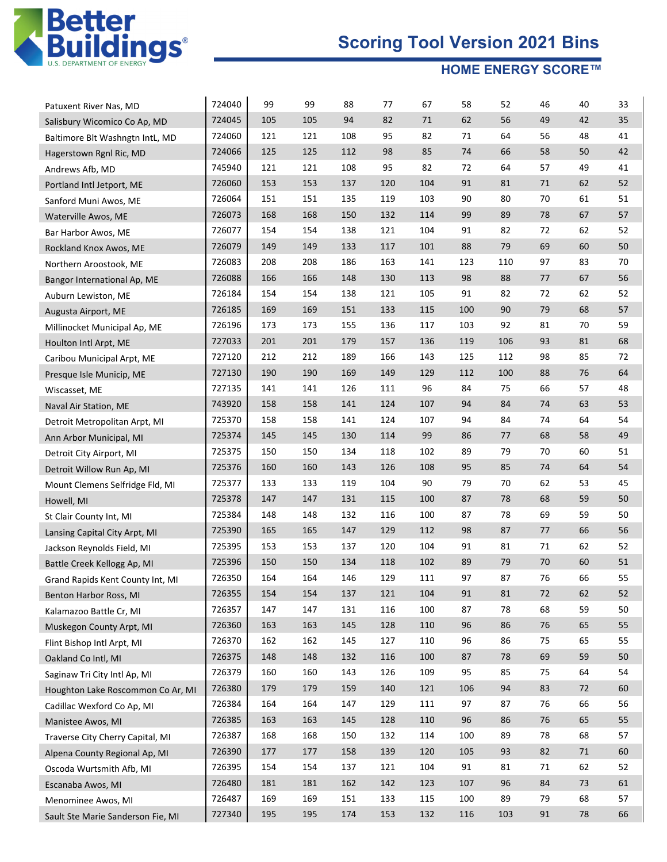

| Patuxent River Nas, MD            | 724040 | 99  | 99  | 88  | 77  | 67  | 58  | 52  | 46 | 40         | 33 |
|-----------------------------------|--------|-----|-----|-----|-----|-----|-----|-----|----|------------|----|
| Salisbury Wicomico Co Ap, MD      | 724045 | 105 | 105 | 94  | 82  | 71  | 62  | 56  | 49 | 42         | 35 |
| Baltimore Blt Washngtn IntL, MD   | 724060 | 121 | 121 | 108 | 95  | 82  | 71  | 64  | 56 | 48         | 41 |
| Hagerstown Rgnl Ric, MD           | 724066 | 125 | 125 | 112 | 98  | 85  | 74  | 66  | 58 | 50         | 42 |
| Andrews Afb, MD                   | 745940 | 121 | 121 | 108 | 95  | 82  | 72  | 64  | 57 | 49         | 41 |
| Portland Intl Jetport, ME         | 726060 | 153 | 153 | 137 | 120 | 104 | 91  | 81  | 71 | 62         | 52 |
| Sanford Muni Awos, ME             | 726064 | 151 | 151 | 135 | 119 | 103 | 90  | 80  | 70 | 61         | 51 |
| Waterville Awos, ME               | 726073 | 168 | 168 | 150 | 132 | 114 | 99  | 89  | 78 | 67         | 57 |
| Bar Harbor Awos, ME               | 726077 | 154 | 154 | 138 | 121 | 104 | 91  | 82  | 72 | 62         | 52 |
| Rockland Knox Awos, ME            | 726079 | 149 | 149 | 133 | 117 | 101 | 88  | 79  | 69 | 60         | 50 |
| Northern Aroostook, ME            | 726083 | 208 | 208 | 186 | 163 | 141 | 123 | 110 | 97 | 83         | 70 |
| Bangor International Ap, ME       | 726088 | 166 | 166 | 148 | 130 | 113 | 98  | 88  | 77 | 67         | 56 |
| Auburn Lewiston, ME               | 726184 | 154 | 154 | 138 | 121 | 105 | 91  | 82  | 72 | 62         | 52 |
| Augusta Airport, ME               | 726185 | 169 | 169 | 151 | 133 | 115 | 100 | 90  | 79 | 68         | 57 |
| Millinocket Municipal Ap, ME      | 726196 | 173 | 173 | 155 | 136 | 117 | 103 | 92  | 81 | 70         | 59 |
| Houlton Intl Arpt, ME             | 727033 | 201 | 201 | 179 | 157 | 136 | 119 | 106 | 93 | 81         | 68 |
| Caribou Municipal Arpt, ME        | 727120 | 212 | 212 | 189 | 166 | 143 | 125 | 112 | 98 | 85         | 72 |
| Presque Isle Municip, ME          | 727130 | 190 | 190 | 169 | 149 | 129 | 112 | 100 | 88 | 76         | 64 |
| Wiscasset, ME                     | 727135 | 141 | 141 | 126 | 111 | 96  | 84  | 75  | 66 | 57         | 48 |
| Naval Air Station, ME             | 743920 | 158 | 158 | 141 | 124 | 107 | 94  | 84  | 74 | 63         | 53 |
| Detroit Metropolitan Arpt, MI     | 725370 | 158 | 158 | 141 | 124 | 107 | 94  | 84  | 74 | 64         | 54 |
| Ann Arbor Municipal, MI           | 725374 | 145 | 145 | 130 | 114 | 99  | 86  | 77  | 68 | 58         | 49 |
| Detroit City Airport, MI          | 725375 | 150 | 150 | 134 | 118 | 102 | 89  | 79  | 70 | 60         | 51 |
| Detroit Willow Run Ap, MI         | 725376 | 160 | 160 | 143 | 126 | 108 | 95  | 85  | 74 | 64         | 54 |
| Mount Clemens Selfridge Fld, MI   | 725377 | 133 | 133 | 119 | 104 | 90  | 79  | 70  | 62 | 53         | 45 |
| Howell, MI                        | 725378 | 147 | 147 | 131 | 115 | 100 | 87  | 78  | 68 | 59         | 50 |
| St Clair County Int, MI           | 725384 | 148 | 148 | 132 | 116 | 100 | 87  | 78  | 69 | 59         | 50 |
| Lansing Capital City Arpt, MI     | 725390 | 165 | 165 | 147 | 129 | 112 | 98  | 87  | 77 | 66         | 56 |
| Jackson Reynolds Field, MI        | 725395 | 153 | 153 | 137 | 120 | 104 | 91  | 81  | 71 | 62         | 52 |
| Battle Creek Kellogg Ap, MI       | 725396 | 150 | 150 | 134 | 118 | 102 | 89  | 79  | 70 | 60         | 51 |
| Grand Rapids Kent County Int, MI  | 726350 | 164 | 164 | 146 | 129 | 111 | 97  | 87  | 76 | 66         | 55 |
| Benton Harbor Ross, MI            | 726355 | 154 | 154 | 137 | 121 | 104 | 91  | 81  | 72 | 62         | 52 |
| Kalamazoo Battle Cr, MI           | 726357 | 147 | 147 | 131 | 116 | 100 | 87  | 78  | 68 | 59         | 50 |
| Muskegon County Arpt, MI          | 726360 | 163 | 163 | 145 | 128 | 110 | 96  | 86  | 76 | 65         | 55 |
| Flint Bishop Intl Arpt, MI        | 726370 | 162 | 162 | 145 | 127 | 110 | 96  | 86  | 75 | 65         | 55 |
| Oakland Co Intl, MI               | 726375 | 148 | 148 | 132 | 116 | 100 | 87  | 78  | 69 | 59         | 50 |
| Saginaw Tri City Intl Ap, MI      | 726379 | 160 | 160 | 143 | 126 | 109 | 95  | 85  | 75 | 64         | 54 |
| Houghton Lake Roscommon Co Ar, MI | 726380 | 179 | 179 | 159 | 140 | 121 | 106 | 94  | 83 | 72         | 60 |
| Cadillac Wexford Co Ap, MI        | 726384 | 164 | 164 | 147 | 129 | 111 | 97  | 87  | 76 | 66         | 56 |
| Manistee Awos, MI                 | 726385 | 163 | 163 | 145 | 128 | 110 | 96  | 86  | 76 | 65         | 55 |
| Traverse City Cherry Capital, MI  | 726387 | 168 | 168 | 150 | 132 | 114 | 100 | 89  | 78 | 68         | 57 |
| Alpena County Regional Ap, MI     | 726390 | 177 | 177 | 158 | 139 | 120 | 105 | 93  | 82 | 71         | 60 |
| Oscoda Wurtsmith Afb, MI          | 726395 | 154 | 154 | 137 | 121 | 104 | 91  | 81  | 71 | 62         | 52 |
| Escanaba Awos, MI                 | 726480 | 181 | 181 | 162 | 142 | 123 | 107 | 96  | 84 | 73         | 61 |
| Menominee Awos, MI                | 726487 | 169 | 169 | 151 | 133 | 115 | 100 | 89  | 79 | 68         | 57 |
| Sault Ste Marie Sanderson Fie, MI | 727340 | 195 | 195 | 174 | 153 | 132 | 116 | 103 | 91 | ${\bf 78}$ | 66 |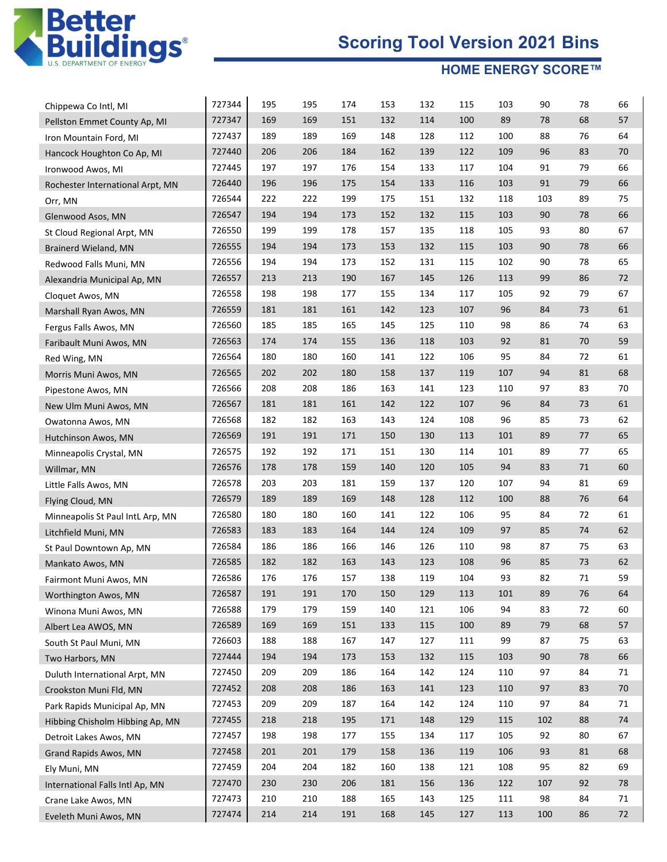

| Chippewa Co Intl, MI             | 727344 | 195 | 195 | 174 | 153 | 132 | 115 | 103 | 90  | 78 | 66 |
|----------------------------------|--------|-----|-----|-----|-----|-----|-----|-----|-----|----|----|
| Pellston Emmet County Ap, MI     | 727347 | 169 | 169 | 151 | 132 | 114 | 100 | 89  | 78  | 68 | 57 |
| Iron Mountain Ford, MI           | 727437 | 189 | 189 | 169 | 148 | 128 | 112 | 100 | 88  | 76 | 64 |
| Hancock Houghton Co Ap, MI       | 727440 | 206 | 206 | 184 | 162 | 139 | 122 | 109 | 96  | 83 | 70 |
| Ironwood Awos, MI                | 727445 | 197 | 197 | 176 | 154 | 133 | 117 | 104 | 91  | 79 | 66 |
| Rochester International Arpt, MN | 726440 | 196 | 196 | 175 | 154 | 133 | 116 | 103 | 91  | 79 | 66 |
| Orr, MN                          | 726544 | 222 | 222 | 199 | 175 | 151 | 132 | 118 | 103 | 89 | 75 |
| Glenwood Asos, MN                | 726547 | 194 | 194 | 173 | 152 | 132 | 115 | 103 | 90  | 78 | 66 |
| St Cloud Regional Arpt, MN       | 726550 | 199 | 199 | 178 | 157 | 135 | 118 | 105 | 93  | 80 | 67 |
| Brainerd Wieland, MN             | 726555 | 194 | 194 | 173 | 153 | 132 | 115 | 103 | 90  | 78 | 66 |
| Redwood Falls Muni, MN           | 726556 | 194 | 194 | 173 | 152 | 131 | 115 | 102 | 90  | 78 | 65 |
| Alexandria Municipal Ap, MN      | 726557 | 213 | 213 | 190 | 167 | 145 | 126 | 113 | 99  | 86 | 72 |
| Cloquet Awos, MN                 | 726558 | 198 | 198 | 177 | 155 | 134 | 117 | 105 | 92  | 79 | 67 |
| Marshall Ryan Awos, MN           | 726559 | 181 | 181 | 161 | 142 | 123 | 107 | 96  | 84  | 73 | 61 |
| Fergus Falls Awos, MN            | 726560 | 185 | 185 | 165 | 145 | 125 | 110 | 98  | 86  | 74 | 63 |
| Faribault Muni Awos, MN          | 726563 | 174 | 174 | 155 | 136 | 118 | 103 | 92  | 81  | 70 | 59 |
| Red Wing, MN                     | 726564 | 180 | 180 | 160 | 141 | 122 | 106 | 95  | 84  | 72 | 61 |
| Morris Muni Awos, MN             | 726565 | 202 | 202 | 180 | 158 | 137 | 119 | 107 | 94  | 81 | 68 |
| Pipestone Awos, MN               | 726566 | 208 | 208 | 186 | 163 | 141 | 123 | 110 | 97  | 83 | 70 |
| New Ulm Muni Awos, MN            | 726567 | 181 | 181 | 161 | 142 | 122 | 107 | 96  | 84  | 73 | 61 |
| Owatonna Awos, MN                | 726568 | 182 | 182 | 163 | 143 | 124 | 108 | 96  | 85  | 73 | 62 |
| Hutchinson Awos, MN              | 726569 | 191 | 191 | 171 | 150 | 130 | 113 | 101 | 89  | 77 | 65 |
| Minneapolis Crystal, MN          | 726575 | 192 | 192 | 171 | 151 | 130 | 114 | 101 | 89  | 77 | 65 |
| Willmar, MN                      | 726576 | 178 | 178 | 159 | 140 | 120 | 105 | 94  | 83  | 71 | 60 |
| Little Falls Awos, MN            | 726578 | 203 | 203 | 181 | 159 | 137 | 120 | 107 | 94  | 81 | 69 |
| Flying Cloud, MN                 | 726579 | 189 | 189 | 169 | 148 | 128 | 112 | 100 | 88  | 76 | 64 |
| Minneapolis St Paul IntL Arp, MN | 726580 | 180 | 180 | 160 | 141 | 122 | 106 | 95  | 84  | 72 | 61 |
| Litchfield Muni, MN              | 726583 | 183 | 183 | 164 | 144 | 124 | 109 | 97  | 85  | 74 | 62 |
| St Paul Downtown Ap, MN          | 726584 | 186 | 186 | 166 | 146 | 126 | 110 | 98  | 87  | 75 | 63 |
| Mankato Awos, MN                 | 726585 | 182 | 182 | 163 | 143 | 123 | 108 | 96  | 85  | 73 | 62 |
| Fairmont Muni Awos, MN           | 726586 | 176 | 176 | 157 | 138 | 119 | 104 | 93  | 82  | 71 | 59 |
| Worthington Awos, MN             | 726587 | 191 | 191 | 170 | 150 | 129 | 113 | 101 | 89  | 76 | 64 |
| Winona Muni Awos, MN             | 726588 | 179 | 179 | 159 | 140 | 121 | 106 | 94  | 83  | 72 | 60 |
| Albert Lea AWOS, MN              | 726589 | 169 | 169 | 151 | 133 | 115 | 100 | 89  | 79  | 68 | 57 |
| South St Paul Muni, MN           | 726603 | 188 | 188 | 167 | 147 | 127 | 111 | 99  | 87  | 75 | 63 |
| Two Harbors, MN                  | 727444 | 194 | 194 | 173 | 153 | 132 | 115 | 103 | 90  | 78 | 66 |
| Duluth International Arpt, MN    | 727450 | 209 | 209 | 186 | 164 | 142 | 124 | 110 | 97  | 84 | 71 |
| Crookston Muni Fld, MN           | 727452 | 208 | 208 | 186 | 163 | 141 | 123 | 110 | 97  | 83 | 70 |
| Park Rapids Municipal Ap, MN     | 727453 | 209 | 209 | 187 | 164 | 142 | 124 | 110 | 97  | 84 | 71 |
| Hibbing Chisholm Hibbing Ap, MN  | 727455 | 218 | 218 | 195 | 171 | 148 | 129 | 115 | 102 | 88 | 74 |
| Detroit Lakes Awos, MN           | 727457 | 198 | 198 | 177 | 155 | 134 | 117 | 105 | 92  | 80 | 67 |
| Grand Rapids Awos, MN            | 727458 | 201 | 201 | 179 | 158 | 136 | 119 | 106 | 93  | 81 | 68 |
| Ely Muni, MN                     | 727459 | 204 | 204 | 182 | 160 | 138 | 121 | 108 | 95  | 82 | 69 |
| International Falls Intl Ap, MN  | 727470 | 230 | 230 | 206 | 181 | 156 | 136 | 122 | 107 | 92 | 78 |
| Crane Lake Awos, MN              | 727473 | 210 | 210 | 188 | 165 | 143 | 125 | 111 | 98  | 84 | 71 |
| Eveleth Muni Awos, MN            | 727474 | 214 | 214 | 191 | 168 | 145 | 127 | 113 | 100 | 86 | 72 |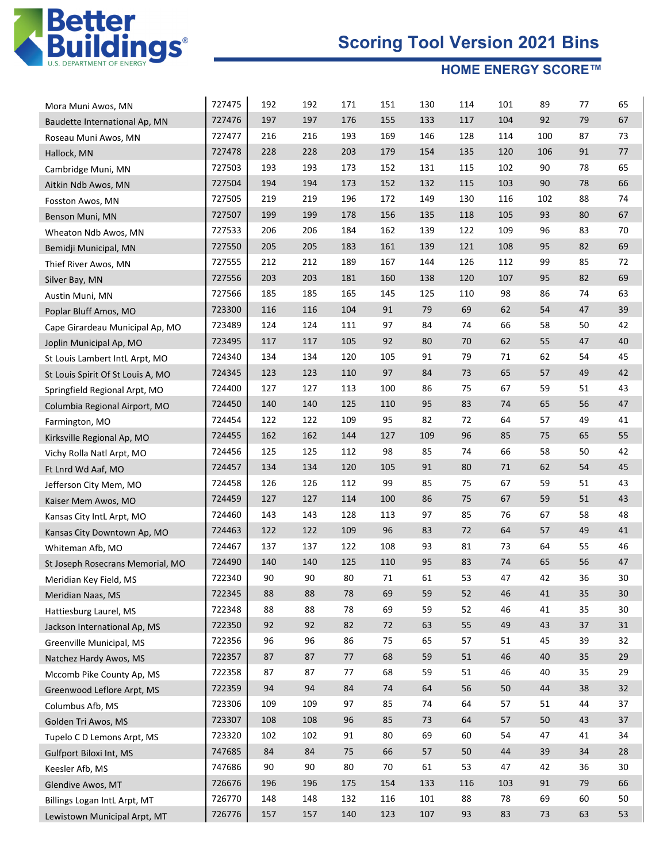

| Mora Muni Awos, MN                | 727475 | 192 | 192 | 171 | 151    | 130 | 114 | 101 | 89  | 77 | 65 |
|-----------------------------------|--------|-----|-----|-----|--------|-----|-----|-----|-----|----|----|
| Baudette International Ap, MN     | 727476 | 197 | 197 | 176 | 155    | 133 | 117 | 104 | 92  | 79 | 67 |
| Roseau Muni Awos, MN              | 727477 | 216 | 216 | 193 | 169    | 146 | 128 | 114 | 100 | 87 | 73 |
| Hallock, MN                       | 727478 | 228 | 228 | 203 | 179    | 154 | 135 | 120 | 106 | 91 | 77 |
| Cambridge Muni, MN                | 727503 | 193 | 193 | 173 | 152    | 131 | 115 | 102 | 90  | 78 | 65 |
| Aitkin Ndb Awos, MN               | 727504 | 194 | 194 | 173 | 152    | 132 | 115 | 103 | 90  | 78 | 66 |
| Fosston Awos, MN                  | 727505 | 219 | 219 | 196 | 172    | 149 | 130 | 116 | 102 | 88 | 74 |
| Benson Muni, MN                   | 727507 | 199 | 199 | 178 | 156    | 135 | 118 | 105 | 93  | 80 | 67 |
| Wheaton Ndb Awos, MN              | 727533 | 206 | 206 | 184 | 162    | 139 | 122 | 109 | 96  | 83 | 70 |
| Bemidji Municipal, MN             | 727550 | 205 | 205 | 183 | 161    | 139 | 121 | 108 | 95  | 82 | 69 |
| Thief River Awos, MN              | 727555 | 212 | 212 | 189 | 167    | 144 | 126 | 112 | 99  | 85 | 72 |
| Silver Bay, MN                    | 727556 | 203 | 203 | 181 | 160    | 138 | 120 | 107 | 95  | 82 | 69 |
| Austin Muni, MN                   | 727566 | 185 | 185 | 165 | 145    | 125 | 110 | 98  | 86  | 74 | 63 |
| Poplar Bluff Amos, MO             | 723300 | 116 | 116 | 104 | 91     | 79  | 69  | 62  | 54  | 47 | 39 |
| Cape Girardeau Municipal Ap, MO   | 723489 | 124 | 124 | 111 | 97     | 84  | 74  | 66  | 58  | 50 | 42 |
| Joplin Municipal Ap, MO           | 723495 | 117 | 117 | 105 | 92     | 80  | 70  | 62  | 55  | 47 | 40 |
| St Louis Lambert IntL Arpt, MO    | 724340 | 134 | 134 | 120 | 105    | 91  | 79  | 71  | 62  | 54 | 45 |
| St Louis Spirit Of St Louis A, MO | 724345 | 123 | 123 | 110 | 97     | 84  | 73  | 65  | 57  | 49 | 42 |
| Springfield Regional Arpt, MO     | 724400 | 127 | 127 | 113 | 100    | 86  | 75  | 67  | 59  | 51 | 43 |
| Columbia Regional Airport, MO     | 724450 | 140 | 140 | 125 | 110    | 95  | 83  | 74  | 65  | 56 | 47 |
| Farmington, MO                    | 724454 | 122 | 122 | 109 | 95     | 82  | 72  | 64  | 57  | 49 | 41 |
| Kirksville Regional Ap, MO        | 724455 | 162 | 162 | 144 | 127    | 109 | 96  | 85  | 75  | 65 | 55 |
| Vichy Rolla Natl Arpt, MO         | 724456 | 125 | 125 | 112 | 98     | 85  | 74  | 66  | 58  | 50 | 42 |
| Ft Lnrd Wd Aaf, MO                | 724457 | 134 | 134 | 120 | 105    | 91  | 80  | 71  | 62  | 54 | 45 |
| Jefferson City Mem, MO            | 724458 | 126 | 126 | 112 | 99     | 85  | 75  | 67  | 59  | 51 | 43 |
| Kaiser Mem Awos, MO               | 724459 | 127 | 127 | 114 | 100    | 86  | 75  | 67  | 59  | 51 | 43 |
| Kansas City IntL Arpt, MO         | 724460 | 143 | 143 | 128 | 113    | 97  | 85  | 76  | 67  | 58 | 48 |
| Kansas City Downtown Ap, MO       | 724463 | 122 | 122 | 109 | 96     | 83  | 72  | 64  | 57  | 49 | 41 |
| Whiteman Afb, MO                  | 724467 | 137 | 137 | 122 | 108    | 93  | 81  | 73  | 64  | 55 | 46 |
| St Joseph Rosecrans Memorial, MO  | 724490 | 140 | 140 | 125 | 110    | 95  | 83  | 74  | 65  | 56 | 47 |
| Meridian Key Field, MS            | 722340 | 90  | 90  | 80  | 71     | 61  | 53  | 47  | 42  | 36 | 30 |
| Meridian Naas, MS                 | 722345 | 88  | 88  | 78  | 69     | 59  | 52  | 46  | 41  | 35 | 30 |
| Hattiesburg Laurel, MS            | 722348 | 88  | 88  | 78  | 69     | 59  | 52  | 46  | 41  | 35 | 30 |
| Jackson International Ap, MS      | 722350 | 92  | 92  | 82  | $72\,$ | 63  | 55  | 49  | 43  | 37 | 31 |
| Greenville Municipal, MS          | 722356 | 96  | 96  | 86  | 75     | 65  | 57  | 51  | 45  | 39 | 32 |
| Natchez Hardy Awos, MS            | 722357 | 87  | 87  | 77  | 68     | 59  | 51  | 46  | 40  | 35 | 29 |
| Mccomb Pike County Ap, MS         | 722358 | 87  | 87  | 77  | 68     | 59  | 51  | 46  | 40  | 35 | 29 |
| Greenwood Leflore Arpt, MS        | 722359 | 94  | 94  | 84  | 74     | 64  | 56  | 50  | 44  | 38 | 32 |
| Columbus Afb, MS                  | 723306 | 109 | 109 | 97  | 85     | 74  | 64  | 57  | 51  | 44 | 37 |
| Golden Tri Awos, MS               | 723307 | 108 | 108 | 96  | 85     | 73  | 64  | 57  | 50  | 43 | 37 |
| Tupelo C D Lemons Arpt, MS        | 723320 | 102 | 102 | 91  | 80     | 69  | 60  | 54  | 47  | 41 | 34 |
| Gulfport Biloxi Int, MS           | 747685 | 84  | 84  | 75  | 66     | 57  | 50  | 44  | 39  | 34 | 28 |
| Keesler Afb, MS                   | 747686 | 90  | 90  | 80  | 70     | 61  | 53  | 47  | 42  | 36 | 30 |
| Glendive Awos, MT                 | 726676 | 196 | 196 | 175 | 154    | 133 | 116 | 103 | 91  | 79 | 66 |
| Billings Logan IntL Arpt, MT      | 726770 | 148 | 148 | 132 | 116    | 101 | 88  | 78  | 69  | 60 | 50 |
| Lewistown Municipal Arpt, MT      | 726776 | 157 | 157 | 140 | 123    | 107 | 93  | 83  | 73  | 63 | 53 |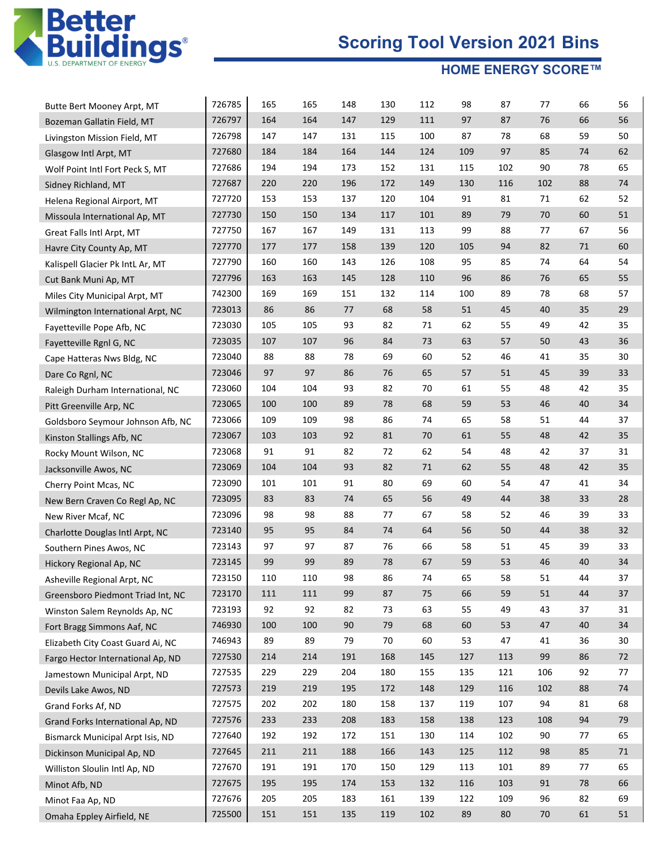

| Butte Bert Mooney Arpt, MT              | 726785 | 165 | 165 | 148 | 130 | 112 | 98  | 87  | 77  | 66 | 56 |
|-----------------------------------------|--------|-----|-----|-----|-----|-----|-----|-----|-----|----|----|
| Bozeman Gallatin Field, MT              | 726797 | 164 | 164 | 147 | 129 | 111 | 97  | 87  | 76  | 66 | 56 |
| Livingston Mission Field, MT            | 726798 | 147 | 147 | 131 | 115 | 100 | 87  | 78  | 68  | 59 | 50 |
| Glasgow Intl Arpt, MT                   | 727680 | 184 | 184 | 164 | 144 | 124 | 109 | 97  | 85  | 74 | 62 |
| Wolf Point Intl Fort Peck S, MT         | 727686 | 194 | 194 | 173 | 152 | 131 | 115 | 102 | 90  | 78 | 65 |
| Sidney Richland, MT                     | 727687 | 220 | 220 | 196 | 172 | 149 | 130 | 116 | 102 | 88 | 74 |
| Helena Regional Airport, MT             | 727720 | 153 | 153 | 137 | 120 | 104 | 91  | 81  | 71  | 62 | 52 |
| Missoula International Ap, MT           | 727730 | 150 | 150 | 134 | 117 | 101 | 89  | 79  | 70  | 60 | 51 |
| Great Falls Intl Arpt, MT               | 727750 | 167 | 167 | 149 | 131 | 113 | 99  | 88  | 77  | 67 | 56 |
| Havre City County Ap, MT                | 727770 | 177 | 177 | 158 | 139 | 120 | 105 | 94  | 82  | 71 | 60 |
| Kalispell Glacier Pk IntL Ar, MT        | 727790 | 160 | 160 | 143 | 126 | 108 | 95  | 85  | 74  | 64 | 54 |
| Cut Bank Muni Ap, MT                    | 727796 | 163 | 163 | 145 | 128 | 110 | 96  | 86  | 76  | 65 | 55 |
| Miles City Municipal Arpt, MT           | 742300 | 169 | 169 | 151 | 132 | 114 | 100 | 89  | 78  | 68 | 57 |
| Wilmington International Arpt, NC       | 723013 | 86  | 86  | 77  | 68  | 58  | 51  | 45  | 40  | 35 | 29 |
| Fayetteville Pope Afb, NC               | 723030 | 105 | 105 | 93  | 82  | 71  | 62  | 55  | 49  | 42 | 35 |
| Fayetteville Rgnl G, NC                 | 723035 | 107 | 107 | 96  | 84  | 73  | 63  | 57  | 50  | 43 | 36 |
| Cape Hatteras Nws Bldg, NC              | 723040 | 88  | 88  | 78  | 69  | 60  | 52  | 46  | 41  | 35 | 30 |
| Dare Co Rgnl, NC                        | 723046 | 97  | 97  | 86  | 76  | 65  | 57  | 51  | 45  | 39 | 33 |
| Raleigh Durham International, NC        | 723060 | 104 | 104 | 93  | 82  | 70  | 61  | 55  | 48  | 42 | 35 |
| Pitt Greenville Arp, NC                 | 723065 | 100 | 100 | 89  | 78  | 68  | 59  | 53  | 46  | 40 | 34 |
| Goldsboro Seymour Johnson Afb, NC       | 723066 | 109 | 109 | 98  | 86  | 74  | 65  | 58  | 51  | 44 | 37 |
| Kinston Stallings Afb, NC               | 723067 | 103 | 103 | 92  | 81  | 70  | 61  | 55  | 48  | 42 | 35 |
| Rocky Mount Wilson, NC                  | 723068 | 91  | 91  | 82  | 72  | 62  | 54  | 48  | 42  | 37 | 31 |
| Jacksonville Awos, NC                   | 723069 | 104 | 104 | 93  | 82  | 71  | 62  | 55  | 48  | 42 | 35 |
| Cherry Point Mcas, NC                   | 723090 | 101 | 101 | 91  | 80  | 69  | 60  | 54  | 47  | 41 | 34 |
| New Bern Craven Co Regl Ap, NC          | 723095 | 83  | 83  | 74  | 65  | 56  | 49  | 44  | 38  | 33 | 28 |
| New River Mcaf, NC                      | 723096 | 98  | 98  | 88  | 77  | 67  | 58  | 52  | 46  | 39 | 33 |
| Charlotte Douglas Intl Arpt, NC         | 723140 | 95  | 95  | 84  | 74  | 64  | 56  | 50  | 44  | 38 | 32 |
| Southern Pines Awos, NC                 | 723143 | 97  | 97  | 87  | 76  | 66  | 58  | 51  | 45  | 39 | 33 |
| Hickory Regional Ap, NC                 | 723145 | 99  | 99  | 89  | 78  | 67  | 59  | 53  | 46  | 40 | 34 |
| Asheville Regional Arpt, NC             | 723150 | 110 | 110 | 98  | 86  | 74  | 65  | 58  | 51  | 44 | 37 |
| Greensboro Piedmont Triad Int, NC       | 723170 | 111 | 111 | 99  | 87  | 75  | 66  | 59  | 51  | 44 | 37 |
| Winston Salem Reynolds Ap, NC           | 723193 | 92  | 92  | 82  | 73  | 63  | 55  | 49  | 43  | 37 | 31 |
| Fort Bragg Simmons Aaf, NC              | 746930 | 100 | 100 | 90  | 79  | 68  | 60  | 53  | 47  | 40 | 34 |
| Elizabeth City Coast Guard Ai, NC       | 746943 | 89  | 89  | 79  | 70  | 60  | 53  | 47  | 41  | 36 | 30 |
| Fargo Hector International Ap, ND       | 727530 | 214 | 214 | 191 | 168 | 145 | 127 | 113 | 99  | 86 | 72 |
| Jamestown Municipal Arpt, ND            | 727535 | 229 | 229 | 204 | 180 | 155 | 135 | 121 | 106 | 92 | 77 |
| Devils Lake Awos, ND                    | 727573 | 219 | 219 | 195 | 172 | 148 | 129 | 116 | 102 | 88 | 74 |
| Grand Forks Af, ND                      | 727575 | 202 | 202 | 180 | 158 | 137 | 119 | 107 | 94  | 81 | 68 |
| Grand Forks International Ap, ND        | 727576 | 233 | 233 | 208 | 183 | 158 | 138 | 123 | 108 | 94 | 79 |
| <b>Bismarck Municipal Arpt Isis, ND</b> | 727640 | 192 | 192 | 172 | 151 | 130 | 114 | 102 | 90  | 77 | 65 |
| Dickinson Municipal Ap, ND              | 727645 | 211 | 211 | 188 | 166 | 143 | 125 | 112 | 98  | 85 | 71 |
| Williston Sloulin Intl Ap, ND           | 727670 | 191 | 191 | 170 | 150 | 129 | 113 | 101 | 89  | 77 | 65 |
| Minot Afb, ND                           | 727675 | 195 | 195 | 174 | 153 | 132 | 116 | 103 | 91  | 78 | 66 |
| Minot Faa Ap, ND                        | 727676 | 205 | 205 | 183 | 161 | 139 | 122 | 109 | 96  | 82 | 69 |
| Omaha Eppley Airfield, NE               | 725500 | 151 | 151 | 135 | 119 | 102 | 89  | 80  | 70  | 61 | 51 |
|                                         |        |     |     |     |     |     |     |     |     |    |    |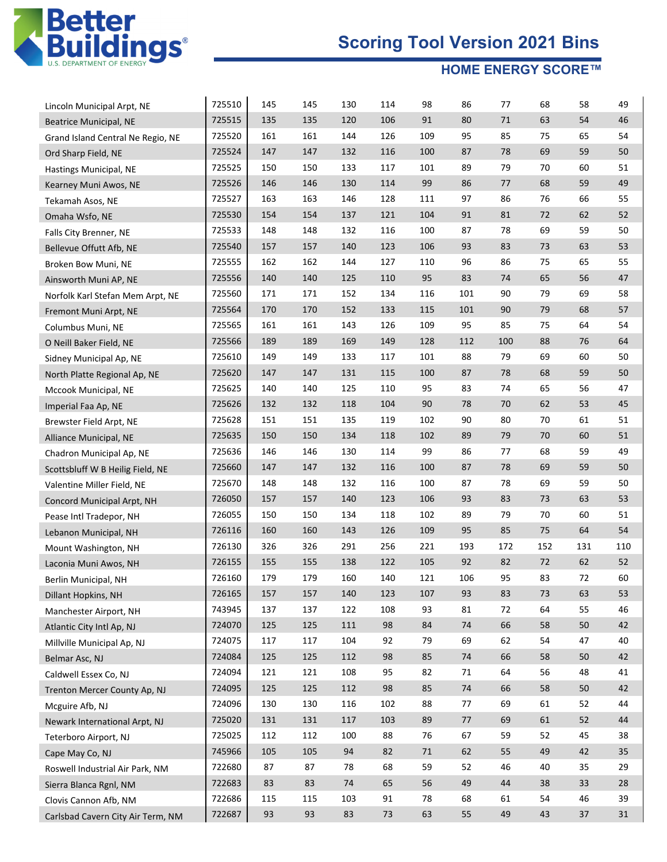

| Lincoln Municipal Arpt, NE        | 725510 | 145 | 145 | 130 | 114 | 98  | 86  | 77  | 68  | 58  | 49  |
|-----------------------------------|--------|-----|-----|-----|-----|-----|-----|-----|-----|-----|-----|
| <b>Beatrice Municipal, NE</b>     | 725515 | 135 | 135 | 120 | 106 | 91  | 80  | 71  | 63  | 54  | 46  |
| Grand Island Central Ne Regio, NE | 725520 | 161 | 161 | 144 | 126 | 109 | 95  | 85  | 75  | 65  | 54  |
| Ord Sharp Field, NE               | 725524 | 147 | 147 | 132 | 116 | 100 | 87  | 78  | 69  | 59  | 50  |
| Hastings Municipal, NE            | 725525 | 150 | 150 | 133 | 117 | 101 | 89  | 79  | 70  | 60  | 51  |
| Kearney Muni Awos, NE             | 725526 | 146 | 146 | 130 | 114 | 99  | 86  | 77  | 68  | 59  | 49  |
| Tekamah Asos, NE                  | 725527 | 163 | 163 | 146 | 128 | 111 | 97  | 86  | 76  | 66  | 55  |
| Omaha Wsfo, NE                    | 725530 | 154 | 154 | 137 | 121 | 104 | 91  | 81  | 72  | 62  | 52  |
| Falls City Brenner, NE            | 725533 | 148 | 148 | 132 | 116 | 100 | 87  | 78  | 69  | 59  | 50  |
| Bellevue Offutt Afb, NE           | 725540 | 157 | 157 | 140 | 123 | 106 | 93  | 83  | 73  | 63  | 53  |
| Broken Bow Muni, NE               | 725555 | 162 | 162 | 144 | 127 | 110 | 96  | 86  | 75  | 65  | 55  |
| Ainsworth Muni AP, NE             | 725556 | 140 | 140 | 125 | 110 | 95  | 83  | 74  | 65  | 56  | 47  |
| Norfolk Karl Stefan Mem Arpt, NE  | 725560 | 171 | 171 | 152 | 134 | 116 | 101 | 90  | 79  | 69  | 58  |
| Fremont Muni Arpt, NE             | 725564 | 170 | 170 | 152 | 133 | 115 | 101 | 90  | 79  | 68  | 57  |
| Columbus Muni, NE                 | 725565 | 161 | 161 | 143 | 126 | 109 | 95  | 85  | 75  | 64  | 54  |
| O Neill Baker Field, NE           | 725566 | 189 | 189 | 169 | 149 | 128 | 112 | 100 | 88  | 76  | 64  |
| Sidney Municipal Ap, NE           | 725610 | 149 | 149 | 133 | 117 | 101 | 88  | 79  | 69  | 60  | 50  |
| North Platte Regional Ap, NE      | 725620 | 147 | 147 | 131 | 115 | 100 | 87  | 78  | 68  | 59  | 50  |
| Mccook Municipal, NE              | 725625 | 140 | 140 | 125 | 110 | 95  | 83  | 74  | 65  | 56  | 47  |
| Imperial Faa Ap, NE               | 725626 | 132 | 132 | 118 | 104 | 90  | 78  | 70  | 62  | 53  | 45  |
| Brewster Field Arpt, NE           | 725628 | 151 | 151 | 135 | 119 | 102 | 90  | 80  | 70  | 61  | 51  |
| Alliance Municipal, NE            | 725635 | 150 | 150 | 134 | 118 | 102 | 89  | 79  | 70  | 60  | 51  |
| Chadron Municipal Ap, NE          | 725636 | 146 | 146 | 130 | 114 | 99  | 86  | 77  | 68  | 59  | 49  |
| Scottsbluff W B Heilig Field, NE  | 725660 | 147 | 147 | 132 | 116 | 100 | 87  | 78  | 69  | 59  | 50  |
| Valentine Miller Field, NE        | 725670 | 148 | 148 | 132 | 116 | 100 | 87  | 78  | 69  | 59  | 50  |
| Concord Municipal Arpt, NH        | 726050 | 157 | 157 | 140 | 123 | 106 | 93  | 83  | 73  | 63  | 53  |
| Pease Intl Tradepor, NH           | 726055 | 150 | 150 | 134 | 118 | 102 | 89  | 79  | 70  | 60  | 51  |
| Lebanon Municipal, NH             | 726116 | 160 | 160 | 143 | 126 | 109 | 95  | 85  | 75  | 64  | 54  |
| Mount Washington, NH              | 726130 | 326 | 326 | 291 | 256 | 221 | 193 | 172 | 152 | 131 | 110 |
| Laconia Muni Awos, NH             | 726155 | 155 | 155 | 138 | 122 | 105 | 92  | 82  | 72  | 62  | 52  |
| Berlin Municipal, NH              | 726160 | 179 | 179 | 160 | 140 | 121 | 106 | 95  | 83  | 72  | 60  |
| Dillant Hopkins, NH               | 726165 | 157 | 157 | 140 | 123 | 107 | 93  | 83  | 73  | 63  | 53  |
| Manchester Airport, NH            | 743945 | 137 | 137 | 122 | 108 | 93  | 81  | 72  | 64  | 55  | 46  |
| Atlantic City Intl Ap, NJ         | 724070 | 125 | 125 | 111 | 98  | 84  | 74  | 66  | 58  | 50  | 42  |
| Millville Municipal Ap, NJ        | 724075 | 117 | 117 | 104 | 92  | 79  | 69  | 62  | 54  | 47  | 40  |
| Belmar Asc, NJ                    | 724084 | 125 | 125 | 112 | 98  | 85  | 74  | 66  | 58  | 50  | 42  |
| Caldwell Essex Co, NJ             | 724094 | 121 | 121 | 108 | 95  | 82  | 71  | 64  | 56  | 48  | 41  |
| Trenton Mercer County Ap, NJ      | 724095 | 125 | 125 | 112 | 98  | 85  | 74  | 66  | 58  | 50  | 42  |
| Mcguire Afb, NJ                   | 724096 | 130 | 130 | 116 | 102 | 88  | 77  | 69  | 61  | 52  | 44  |
| Newark International Arpt, NJ     | 725020 | 131 | 131 | 117 | 103 | 89  | 77  | 69  | 61  | 52  | 44  |
| Teterboro Airport, NJ             | 725025 | 112 | 112 | 100 | 88  | 76  | 67  | 59  | 52  | 45  | 38  |
| Cape May Co, NJ                   | 745966 | 105 | 105 | 94  | 82  | 71  | 62  | 55  | 49  | 42  | 35  |
| Roswell Industrial Air Park, NM   | 722680 | 87  | 87  | 78  | 68  | 59  | 52  | 46  | 40  | 35  | 29  |
| Sierra Blanca Rgnl, NM            | 722683 | 83  | 83  | 74  | 65  | 56  | 49  | 44  | 38  | 33  | 28  |
| Clovis Cannon Afb, NM             | 722686 | 115 | 115 | 103 | 91  | 78  | 68  | 61  | 54  | 46  | 39  |
| Carlsbad Cavern City Air Term, NM | 722687 | 93  | 93  | 83  | 73  | 63  | 55  | 49  | 43  | 37  | 31  |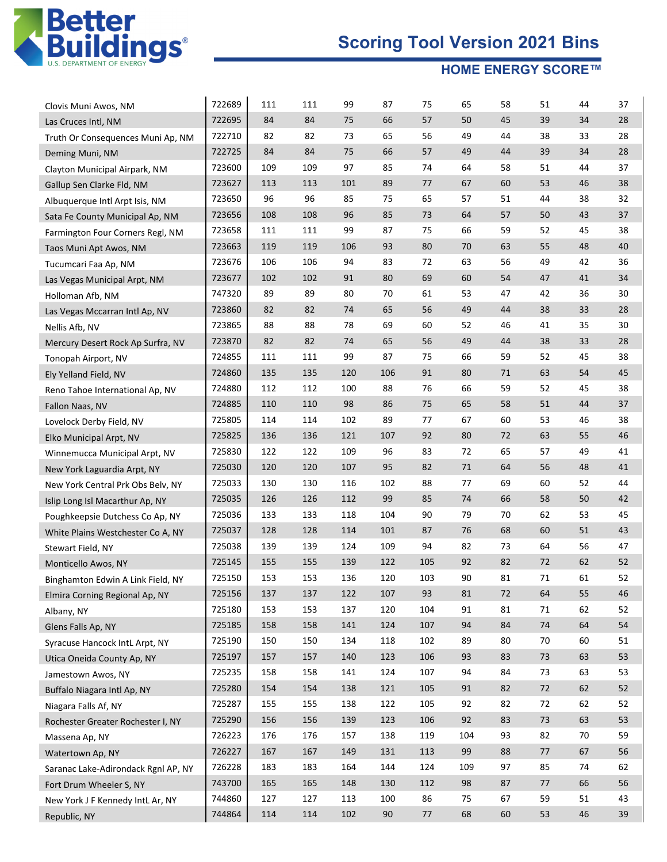

| Clovis Muni Awos, NM                | 722689 | 111 | 111 | 99  | 87  | 75  | 65  | 58 | 51 | 44     | 37 |
|-------------------------------------|--------|-----|-----|-----|-----|-----|-----|----|----|--------|----|
| Las Cruces Intl, NM                 | 722695 | 84  | 84  | 75  | 66  | 57  | 50  | 45 | 39 | 34     | 28 |
| Truth Or Consequences Muni Ap, NM   | 722710 | 82  | 82  | 73  | 65  | 56  | 49  | 44 | 38 | 33     | 28 |
| Deming Muni, NM                     | 722725 | 84  | 84  | 75  | 66  | 57  | 49  | 44 | 39 | 34     | 28 |
| Clayton Municipal Airpark, NM       | 723600 | 109 | 109 | 97  | 85  | 74  | 64  | 58 | 51 | 44     | 37 |
| Gallup Sen Clarke Fld, NM           | 723627 | 113 | 113 | 101 | 89  | 77  | 67  | 60 | 53 | 46     | 38 |
| Albuquerque Intl Arpt Isis, NM      | 723650 | 96  | 96  | 85  | 75  | 65  | 57  | 51 | 44 | 38     | 32 |
| Sata Fe County Municipal Ap, NM     | 723656 | 108 | 108 | 96  | 85  | 73  | 64  | 57 | 50 | 43     | 37 |
| Farmington Four Corners Regl, NM    | 723658 | 111 | 111 | 99  | 87  | 75  | 66  | 59 | 52 | 45     | 38 |
| Taos Muni Apt Awos, NM              | 723663 | 119 | 119 | 106 | 93  | 80  | 70  | 63 | 55 | 48     | 40 |
| Tucumcari Faa Ap, NM                | 723676 | 106 | 106 | 94  | 83  | 72  | 63  | 56 | 49 | 42     | 36 |
| Las Vegas Municipal Arpt, NM        | 723677 | 102 | 102 | 91  | 80  | 69  | 60  | 54 | 47 | 41     | 34 |
| Holloman Afb, NM                    | 747320 | 89  | 89  | 80  | 70  | 61  | 53  | 47 | 42 | 36     | 30 |
| Las Vegas Mccarran Intl Ap, NV      | 723860 | 82  | 82  | 74  | 65  | 56  | 49  | 44 | 38 | 33     | 28 |
| Nellis Afb, NV                      | 723865 | 88  | 88  | 78  | 69  | 60  | 52  | 46 | 41 | 35     | 30 |
| Mercury Desert Rock Ap Surfra, NV   | 723870 | 82  | 82  | 74  | 65  | 56  | 49  | 44 | 38 | 33     | 28 |
| Tonopah Airport, NV                 | 724855 | 111 | 111 | 99  | 87  | 75  | 66  | 59 | 52 | 45     | 38 |
| Ely Yelland Field, NV               | 724860 | 135 | 135 | 120 | 106 | 91  | 80  | 71 | 63 | 54     | 45 |
| Reno Tahoe International Ap, NV     | 724880 | 112 | 112 | 100 | 88  | 76  | 66  | 59 | 52 | 45     | 38 |
| Fallon Naas, NV                     | 724885 | 110 | 110 | 98  | 86  | 75  | 65  | 58 | 51 | 44     | 37 |
| Lovelock Derby Field, NV            | 725805 | 114 | 114 | 102 | 89  | 77  | 67  | 60 | 53 | 46     | 38 |
| Elko Municipal Arpt, NV             | 725825 | 136 | 136 | 121 | 107 | 92  | 80  | 72 | 63 | 55     | 46 |
| Winnemucca Municipal Arpt, NV       | 725830 | 122 | 122 | 109 | 96  | 83  | 72  | 65 | 57 | 49     | 41 |
| New York Laguardia Arpt, NY         | 725030 | 120 | 120 | 107 | 95  | 82  | 71  | 64 | 56 | 48     | 41 |
| New York Central Prk Obs Belv, NY   | 725033 | 130 | 130 | 116 | 102 | 88  | 77  | 69 | 60 | 52     | 44 |
| Islip Long Isl Macarthur Ap, NY     | 725035 | 126 | 126 | 112 | 99  | 85  | 74  | 66 | 58 | 50     | 42 |
| Poughkeepsie Dutchess Co Ap, NY     | 725036 | 133 | 133 | 118 | 104 | 90  | 79  | 70 | 62 | 53     | 45 |
| White Plains Westchester Co A, NY   | 725037 | 128 | 128 | 114 | 101 | 87  | 76  | 68 | 60 | 51     | 43 |
| Stewart Field, NY                   | 725038 | 139 | 139 | 124 | 109 | 94  | 82  | 73 | 64 | 56     | 47 |
| Monticello Awos, NY                 | 725145 | 155 | 155 | 139 | 122 | 105 | 92  | 82 | 72 | 62     | 52 |
| Binghamton Edwin A Link Field, NY   | 725150 | 153 | 153 | 136 | 120 | 103 | 90  | 81 | 71 | 61     | 52 |
| Elmira Corning Regional Ap, NY      | 725156 | 137 | 137 | 122 | 107 | 93  | 81  | 72 | 64 | 55     | 46 |
| Albany, NY                          | 725180 | 153 | 153 | 137 | 120 | 104 | 91  | 81 | 71 | 62     | 52 |
| Glens Falls Ap, NY                  | 725185 | 158 | 158 | 141 | 124 | 107 | 94  | 84 | 74 | 64     | 54 |
| Syracuse Hancock IntL Arpt, NY      | 725190 | 150 | 150 | 134 | 118 | 102 | 89  | 80 | 70 | 60     | 51 |
| Utica Oneida County Ap, NY          | 725197 | 157 | 157 | 140 | 123 | 106 | 93  | 83 | 73 | 63     | 53 |
| Jamestown Awos, NY                  | 725235 | 158 | 158 | 141 | 124 | 107 | 94  | 84 | 73 | 63     | 53 |
| Buffalo Niagara Intl Ap, NY         | 725280 | 154 | 154 | 138 | 121 | 105 | 91  | 82 | 72 | 62     | 52 |
| Niagara Falls Af, NY                | 725287 | 155 | 155 | 138 | 122 | 105 | 92  | 82 | 72 | 62     | 52 |
| Rochester Greater Rochester I, NY   | 725290 | 156 | 156 | 139 | 123 | 106 | 92  | 83 | 73 | 63     | 53 |
| Massena Ap, NY                      | 726223 | 176 | 176 | 157 | 138 | 119 | 104 | 93 | 82 | 70     | 59 |
| Watertown Ap, NY                    | 726227 | 167 | 167 | 149 | 131 | 113 | 99  | 88 | 77 | 67     | 56 |
| Saranac Lake-Adirondack Rgnl AP, NY | 726228 | 183 | 183 | 164 | 144 | 124 | 109 | 97 | 85 | 74     | 62 |
| Fort Drum Wheeler S, NY             | 743700 | 165 | 165 | 148 | 130 | 112 | 98  | 87 | 77 | 66     | 56 |
| New York J F Kennedy IntL Ar, NY    | 744860 | 127 | 127 | 113 | 100 | 86  | 75  | 67 | 59 | 51     | 43 |
| Republic, NY                        | 744864 | 114 | 114 | 102 | 90  | 77  | 68  | 60 | 53 | $46\,$ | 39 |
|                                     |        |     |     |     |     |     |     |    |    |        |    |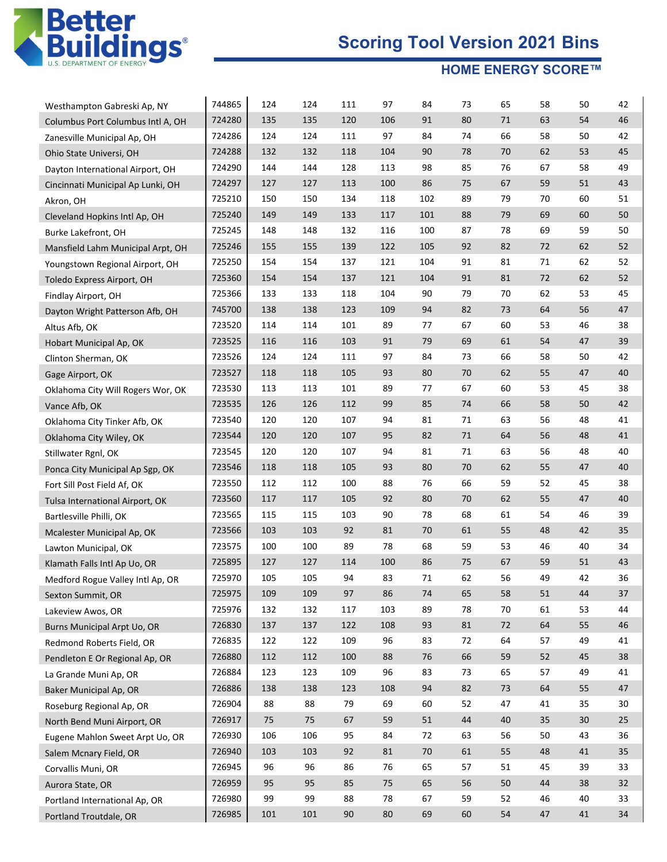

| Westhampton Gabreski Ap, NY       | 744865 | 124 | 124 | 111    | 97  | 84     | 73 | 65 | 58 | 50     | 42 |
|-----------------------------------|--------|-----|-----|--------|-----|--------|----|----|----|--------|----|
| Columbus Port Columbus Intl A, OH | 724280 | 135 | 135 | 120    | 106 | 91     | 80 | 71 | 63 | 54     | 46 |
| Zanesville Municipal Ap, OH       | 724286 | 124 | 124 | 111    | 97  | 84     | 74 | 66 | 58 | 50     | 42 |
| Ohio State Universi, OH           | 724288 | 132 | 132 | 118    | 104 | 90     | 78 | 70 | 62 | 53     | 45 |
| Dayton International Airport, OH  | 724290 | 144 | 144 | 128    | 113 | 98     | 85 | 76 | 67 | 58     | 49 |
| Cincinnati Municipal Ap Lunki, OH | 724297 | 127 | 127 | 113    | 100 | 86     | 75 | 67 | 59 | 51     | 43 |
| Akron, OH                         | 725210 | 150 | 150 | 134    | 118 | 102    | 89 | 79 | 70 | 60     | 51 |
| Cleveland Hopkins Intl Ap, OH     | 725240 | 149 | 149 | 133    | 117 | 101    | 88 | 79 | 69 | 60     | 50 |
| Burke Lakefront, OH               | 725245 | 148 | 148 | 132    | 116 | 100    | 87 | 78 | 69 | 59     | 50 |
| Mansfield Lahm Municipal Arpt, OH | 725246 | 155 | 155 | 139    | 122 | 105    | 92 | 82 | 72 | 62     | 52 |
| Youngstown Regional Airport, OH   | 725250 | 154 | 154 | 137    | 121 | 104    | 91 | 81 | 71 | 62     | 52 |
| Toledo Express Airport, OH        | 725360 | 154 | 154 | 137    | 121 | 104    | 91 | 81 | 72 | 62     | 52 |
| Findlay Airport, OH               | 725366 | 133 | 133 | 118    | 104 | 90     | 79 | 70 | 62 | 53     | 45 |
| Dayton Wright Patterson Afb, OH   | 745700 | 138 | 138 | 123    | 109 | 94     | 82 | 73 | 64 | 56     | 47 |
| Altus Afb, OK                     | 723520 | 114 | 114 | 101    | 89  | 77     | 67 | 60 | 53 | 46     | 38 |
| Hobart Municipal Ap, OK           | 723525 | 116 | 116 | 103    | 91  | 79     | 69 | 61 | 54 | 47     | 39 |
| Clinton Sherman, OK               | 723526 | 124 | 124 | 111    | 97  | 84     | 73 | 66 | 58 | 50     | 42 |
| Gage Airport, OK                  | 723527 | 118 | 118 | 105    | 93  | 80     | 70 | 62 | 55 | 47     | 40 |
| Oklahoma City Will Rogers Wor, OK | 723530 | 113 | 113 | 101    | 89  | 77     | 67 | 60 | 53 | 45     | 38 |
| Vance Afb, OK                     | 723535 | 126 | 126 | 112    | 99  | 85     | 74 | 66 | 58 | 50     | 42 |
| Oklahoma City Tinker Afb, OK      | 723540 | 120 | 120 | 107    | 94  | 81     | 71 | 63 | 56 | 48     | 41 |
| Oklahoma City Wiley, OK           | 723544 | 120 | 120 | 107    | 95  | 82     | 71 | 64 | 56 | 48     | 41 |
| Stillwater Rgnl, OK               | 723545 | 120 | 120 | 107    | 94  | 81     | 71 | 63 | 56 | 48     | 40 |
| Ponca City Municipal Ap Sgp, OK   | 723546 | 118 | 118 | 105    | 93  | 80     | 70 | 62 | 55 | 47     | 40 |
| Fort Sill Post Field Af, OK       | 723550 | 112 | 112 | 100    | 88  | 76     | 66 | 59 | 52 | 45     | 38 |
| Tulsa International Airport, OK   | 723560 | 117 | 117 | 105    | 92  | 80     | 70 | 62 | 55 | 47     | 40 |
| Bartlesville Philli, OK           | 723565 | 115 | 115 | 103    | 90  | 78     | 68 | 61 | 54 | 46     | 39 |
| Mcalester Municipal Ap, OK        | 723566 | 103 | 103 | 92     | 81  | 70     | 61 | 55 | 48 | 42     | 35 |
| Lawton Municipal, OK              | 723575 | 100 | 100 | 89     | 78  | 68     | 59 | 53 | 46 | 40     | 34 |
| Klamath Falls Intl Ap Uo, OR      | 725895 | 127 | 127 | 114    | 100 | 86     | 75 | 67 | 59 | 51     | 43 |
| Medford Rogue Valley Intl Ap, OR  | 725970 | 105 | 105 | 94     | 83  | 71     | 62 | 56 | 49 | 42     | 36 |
| Sexton Summit, OR                 | 725975 | 109 | 109 | 97     | 86  | 74     | 65 | 58 | 51 | 44     | 37 |
| Lakeview Awos, OR                 | 725976 | 132 | 132 | 117    | 103 | 89     | 78 | 70 | 61 | 53     | 44 |
| Burns Municipal Arpt Uo, OR       | 726830 | 137 | 137 | 122    | 108 | 93     | 81 | 72 | 64 | 55     | 46 |
| Redmond Roberts Field, OR         | 726835 | 122 | 122 | 109    | 96  | 83     | 72 | 64 | 57 | 49     | 41 |
| Pendleton E Or Regional Ap, OR    | 726880 | 112 | 112 | 100    | 88  | 76     | 66 | 59 | 52 | 45     | 38 |
| La Grande Muni Ap, OR             | 726884 | 123 | 123 | 109    | 96  | 83     | 73 | 65 | 57 | 49     | 41 |
| Baker Municipal Ap, OR            | 726886 | 138 | 138 | 123    | 108 | 94     | 82 | 73 | 64 | 55     | 47 |
| Roseburg Regional Ap, OR          | 726904 | 88  | 88  | 79     | 69  | 60     | 52 | 47 | 41 | 35     | 30 |
| North Bend Muni Airport, OR       | 726917 | 75  | 75  | 67     | 59  | $51\,$ | 44 | 40 | 35 | $30\,$ | 25 |
| Eugene Mahlon Sweet Arpt Uo, OR   | 726930 | 106 | 106 | 95     | 84  | 72     | 63 | 56 | 50 | 43     | 36 |
| Salem Mcnary Field, OR            | 726940 | 103 | 103 | 92     | 81  | 70     | 61 | 55 | 48 | 41     | 35 |
| Corvallis Muni, OR                | 726945 | 96  | 96  | 86     | 76  | 65     | 57 | 51 | 45 | 39     | 33 |
| Aurora State, OR                  | 726959 | 95  | 95  | 85     | 75  | 65     | 56 | 50 | 44 | 38     | 32 |
| Portland International Ap, OR     | 726980 | 99  | 99  | 88     | 78  | 67     | 59 | 52 | 46 | 40     | 33 |
| Portland Troutdale, OR            | 726985 | 101 | 101 | $90\,$ | 80  | 69     | 60 | 54 | 47 | $41\,$ | 34 |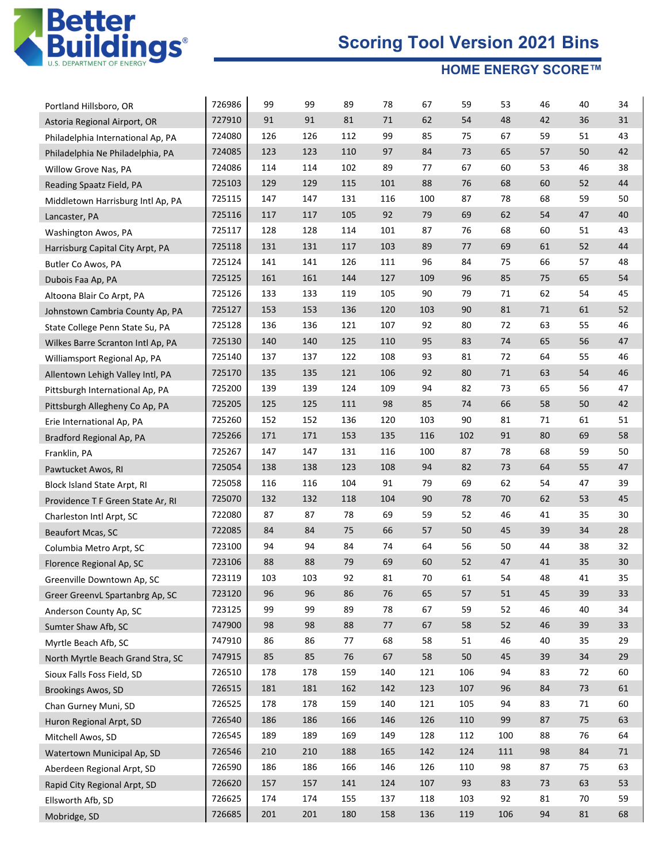

| Portland Hillsboro, OR            | 726986           | 99<br>91 | 99<br>91 | 89<br>81 | 78<br>71 | 67<br>62 | 59<br>54 | 53<br>48 | 46<br>42 | 40<br>36 | 34<br>31 |
|-----------------------------------|------------------|----------|----------|----------|----------|----------|----------|----------|----------|----------|----------|
| Astoria Regional Airport, OR      | 727910<br>724080 | 126      | 126      | 112      | 99       | 85       | 75       | 67       | 59       | 51       | 43       |
| Philadelphia International Ap, PA |                  |          |          |          | 97       |          | 73       |          |          |          |          |
| Philadelphia Ne Philadelphia, PA  | 724085           | 123      | 123      | 110      |          | 84       | 67       | 65       | 57       | 50<br>46 | 42       |
| Willow Grove Nas, PA              | 724086           | 114      | 114      | 102      | 89       | 77       |          | 60       | 53       |          | 38       |
| Reading Spaatz Field, PA          | 725103           | 129      | 129      | 115      | 101      | 88       | 76       | 68       | 60       | 52       | 44       |
| Middletown Harrisburg Intl Ap, PA | 725115           | 147      | 147      | 131      | 116      | 100      | 87       | 78       | 68       | 59       | 50       |
| Lancaster, PA                     | 725116           | 117      | 117      | 105      | 92       | 79       | 69       | 62       | 54       | 47       | 40       |
| Washington Awos, PA               | 725117           | 128      | 128      | 114      | 101      | 87       | 76       | 68       | 60       | 51       | 43       |
| Harrisburg Capital City Arpt, PA  | 725118           | 131      | 131      | 117      | 103      | 89       | 77       | 69       | 61       | 52       | 44       |
| Butler Co Awos, PA                | 725124           | 141      | 141      | 126      | 111      | 96       | 84       | 75       | 66       | 57       | 48       |
| Dubois Faa Ap, PA                 | 725125           | 161      | 161      | 144      | 127      | 109      | 96       | 85       | 75       | 65       | 54       |
| Altoona Blair Co Arpt, PA         | 725126           | 133      | 133      | 119      | 105      | 90       | 79       | 71       | 62       | 54       | 45       |
| Johnstown Cambria County Ap, PA   | 725127           | 153      | 153      | 136      | 120      | 103      | 90       | 81       | 71       | 61       | 52       |
| State College Penn State Su, PA   | 725128           | 136      | 136      | 121      | 107      | 92       | 80       | 72       | 63       | 55       | 46       |
| Wilkes Barre Scranton Intl Ap, PA | 725130           | 140      | 140      | 125      | 110      | 95       | 83       | 74       | 65       | 56       | 47       |
| Williamsport Regional Ap, PA      | 725140           | 137      | 137      | 122      | 108      | 93       | 81       | 72       | 64       | 55       | 46       |
| Allentown Lehigh Valley Intl, PA  | 725170           | 135      | 135      | 121      | 106      | 92       | 80       | 71       | 63       | 54       | 46       |
| Pittsburgh International Ap, PA   | 725200           | 139      | 139      | 124      | 109      | 94       | 82       | 73       | 65       | 56       | 47       |
| Pittsburgh Allegheny Co Ap, PA    | 725205           | 125      | 125      | 111      | 98       | 85       | 74       | 66       | 58       | 50       | 42       |
| Erie International Ap, PA         | 725260           | 152      | 152      | 136      | 120      | 103      | 90       | 81       | 71       | 61       | 51       |
| Bradford Regional Ap, PA          | 725266           | 171      | 171      | 153      | 135      | 116      | 102      | 91       | 80       | 69       | 58       |
| Franklin, PA                      | 725267           | 147      | 147      | 131      | 116      | 100      | 87       | 78       | 68       | 59       | 50       |
| Pawtucket Awos, RI                | 725054           | 138      | 138      | 123      | 108      | 94       | 82       | 73       | 64       | 55       | 47       |
| Block Island State Arpt, RI       | 725058           | 116      | 116      | 104      | 91       | 79       | 69       | 62       | 54       | 47       | 39       |
| Providence T F Green State Ar, RI | 725070           | 132      | 132      | 118      | 104      | 90       | 78       | 70       | 62       | 53       | 45       |
| Charleston Intl Arpt, SC          | 722080           | 87       | 87       | 78       | 69       | 59       | 52       | 46       | 41       | 35       | 30       |
| <b>Beaufort Mcas, SC</b>          | 722085           | 84       | 84       | 75       | 66       | 57       | 50       | 45       | 39       | 34       | 28       |
| Columbia Metro Arpt, SC           | 723100           | 94       | 94       | 84       | 74       | 64       | 56       | 50       | 44       | 38       | 32       |
| Florence Regional Ap, SC          | 723106           | 88       | 88       | 79       | 69       | 60       | 52       | 47       | 41       | 35       | 30       |
| Greenville Downtown Ap, SC        | 723119           | 103      | 103      | 92       | 81       | 70       | 61       | 54       | 48       | 41       | 35       |
| Greer GreenvL Spartanbrg Ap, SC   | 723120           | 96       | 96       | 86       | 76       | 65       | 57       | 51       | 45       | 39       | 33       |
| Anderson County Ap, SC            | 723125           | 99       | 99       | 89       | 78       | 67       | 59       | 52       | 46       | 40       | 34       |
| Sumter Shaw Afb, SC               | 747900           | 98       | 98       | 88       | $77\,$   | 67       | 58       | 52       | 46       | 39       | 33       |
| Myrtle Beach Afb, SC              | 747910           | 86       | 86       | 77       | 68       | 58       | 51       | 46       | 40       | 35       | 29       |
| North Myrtle Beach Grand Stra, SC | 747915           | 85       | 85       | 76       | 67       | 58       | 50       | 45       | 39       | 34       | 29       |
| Sioux Falls Foss Field, SD        | 726510           | 178      | 178      | 159      | 140      | 121      | 106      | 94       | 83       | 72       | 60       |
| <b>Brookings Awos, SD</b>         | 726515           | 181      | 181      | 162      | 142      | 123      | 107      | 96       | 84       | 73       | 61       |
| Chan Gurney Muni, SD              | 726525           | 178      | 178      | 159      | 140      | 121      | 105      | 94       | 83       | 71       | 60       |
| Huron Regional Arpt, SD           | 726540           | 186      | 186      | 166      | 146      | 126      | 110      | 99       | 87       | 75       | 63       |
| Mitchell Awos, SD                 | 726545           | 189      | 189      | 169      | 149      | 128      | 112      | 100      | 88       | 76       | 64       |
| Watertown Municipal Ap, SD        | 726546           | 210      | 210      | 188      | 165      | 142      | 124      | 111      | 98       | 84       | 71       |
| Aberdeen Regional Arpt, SD        | 726590           | 186      | 186      | 166      | 146      | 126      | 110      | 98       | 87       | 75       | 63       |
| Rapid City Regional Arpt, SD      | 726620           | 157      | 157      | 141      | 124      | 107      | 93       | 83       | 73       | 63       | 53       |
| Ellsworth Afb, SD                 | 726625           | 174      | 174      | 155      | 137      | 118      | 103      | 92       | 81       | 70       | 59       |
| Mobridge, SD                      | 726685           | 201      | 201      | 180      | 158      | 136      | 119      | 106      | 94       | $81\,$   | 68       |
|                                   |                  |          |          |          |          |          |          |          |          |          |          |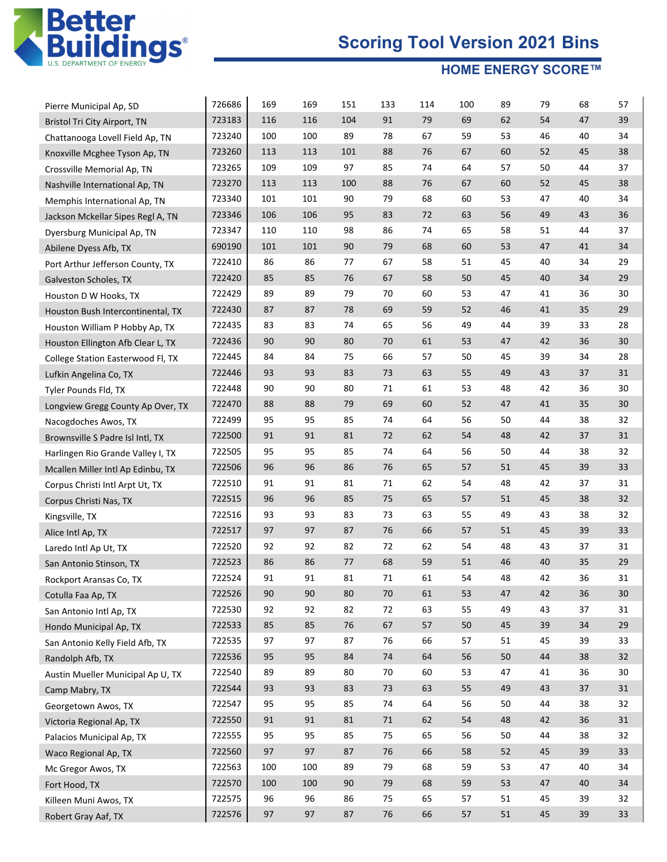

| Pierre Municipal Ap, SD                                           | 726686<br>723183 | 169<br>116 | 169<br>116 | 151<br>104 | 133<br>91 | 114<br>79 | 100<br>69 | 89<br>62 | 79<br>54 | 68<br>47 | 57<br>39 |
|-------------------------------------------------------------------|------------------|------------|------------|------------|-----------|-----------|-----------|----------|----------|----------|----------|
| Bristol Tri City Airport, TN<br>Chattanooga Lovell Field Ap, TN   | 723240           | 100        | 100        | 89         | 78        | 67        | 59        | 53       | 46       | 40       | 34       |
| Knoxville Mcghee Tyson Ap, TN                                     | 723260           | 113        | 113        | 101        | 88        | 76        | 67        | 60       | 52       | 45       | 38       |
| Crossville Memorial Ap, TN                                        | 723265           | 109        | 109        | 97         | 85        | 74        | 64        | 57       | 50       | 44       | 37       |
|                                                                   | 723270           | 113        | 113        | 100        | 88        | 76        | 67        | 60       | 52       | 45       | 38       |
| Nashville International Ap, TN                                    | 723340           | 101        | 101        | 90         | 79        | 68        | 60        | 53       | 47       | 40       | 34       |
| Memphis International Ap, TN<br>Jackson Mckellar Sipes Regl A, TN | 723346           | 106        | 106        | 95         | 83        | 72        | 63        | 56       | 49       | 43       | 36       |
|                                                                   | 723347           | 110        | 110        | 98         | 86        | 74        | 65        | 58       | 51       | 44       | 37       |
| Dyersburg Municipal Ap, TN                                        | 690190           | 101        | 101        | 90         | 79        | 68        | 60        | 53       | 47       | 41       | 34       |
| Abilene Dyess Afb, TX                                             | 722410           | 86         | 86         | 77         | 67        | 58        | 51        | 45       | 40       | 34       | 29       |
| Port Arthur Jefferson County, TX                                  | 722420           | 85         | 85         | 76         | 67        | 58        | 50        | 45       | 40       | 34       | 29       |
| Galveston Scholes, TX                                             | 722429           | 89         | 89         | 79         | 70        | 60        | 53        | 47       | 41       | 36       | 30       |
| Houston D W Hooks, TX                                             | 722430           | 87         | 87         | 78         | 69        | 59        | 52        | 46       | 41       | 35       | 29       |
| Houston Bush Intercontinental, TX                                 | 722435           | 83         | 83         | 74         | 65        | 56        | 49        | 44       | 39       | 33       | 28       |
| Houston William P Hobby Ap, TX                                    | 722436           | 90         | 90         | 80         | 70        | 61        | 53        | 47       | 42       | 36       | 30       |
| Houston Ellington Afb Clear L, TX                                 | 722445           | 84         | 84         | 75         | 66        | 57        | 50        | 45       | 39       | 34       | 28       |
| College Station Easterwood Fl, TX                                 |                  |            |            |            |           |           | 55        |          | 43       |          |          |
| Lufkin Angelina Co, TX                                            | 722446           | 93<br>90   | 93<br>90   | 83         | 73<br>71  | 63        | 53        | 49<br>48 | 42       | 37       | 31       |
| Tyler Pounds Fld, TX                                              | 722448<br>722470 | 88         | 88         | 80<br>79   | 69        | 61<br>60  | 52        | 47       | 41       | 36<br>35 | 30<br>30 |
| Longview Gregg County Ap Over, TX                                 |                  |            |            |            | 74        |           | 56        |          |          |          |          |
| Nacogdoches Awos, TX                                              | 722499           | 95         | 95         | 85         |           | 64        |           | 50       | 44       | 38       | 32       |
| Brownsville S Padre Isl Intl, TX                                  | 722500           | 91         | 91         | 81         | 72        | 62        | 54        | 48       | 42       | 37       | 31       |
| Harlingen Rio Grande Valley I, TX                                 | 722505           | 95         | 95         | 85         | 74        | 64        | 56        | 50       | 44       | 38       | 32       |
| Mcallen Miller Intl Ap Edinbu, TX                                 | 722506           | 96         | 96         | 86         | 76        | 65        | 57        | 51       | 45       | 39       | 33       |
| Corpus Christi Intl Arpt Ut, TX                                   | 722510           | 91         | 91         | 81         | 71        | 62        | 54        | 48       | 42       | 37       | 31       |
| Corpus Christi Nas, TX                                            | 722515           | 96         | 96         | 85         | 75        | 65        | 57        | 51       | 45       | 38       | 32       |
| Kingsville, TX                                                    | 722516           | 93         | 93         | 83         | 73        | 63        | 55        | 49       | 43       | 38       | 32       |
| Alice Intl Ap, TX                                                 | 722517           | 97         | 97         | 87         | 76        | 66        | 57        | 51       | 45       | 39       | 33       |
| Laredo Intl Ap Ut, TX                                             | 722520           | 92         | 92         | 82         | 72        | 62        | 54        | 48       | 43       | 37       | 31       |
| San Antonio Stinson, TX                                           | 722523           | 86         | 86         | 77         | 68        | 59        | 51        | 46       | 40       | 35       | 29       |
| Rockport Aransas Co, TX                                           | 722524           | 91         | 91         | 81         | 71        | 61        | 54        | 48       | 42       | 36       | 31       |
| Cotulla Faa Ap, TX                                                | 722526           | 90         | 90         | 80         | 70        | 61        | 53        | 47       | 42       | 36       | $30\,$   |
| San Antonio Intl Ap, TX                                           | 722530           | 92         | 92         | 82         | $72\,$    | 63        | 55        | 49       | 43       | 37       | 31       |
| Hondo Municipal Ap, TX                                            | 722533           | 85         | 85         | $76\,$     | 67        | 57        | 50        | 45       | 39       | 34       | 29       |
| San Antonio Kelly Field Afb, TX                                   | 722535           | 97         | 97         | 87         | 76        | 66        | 57        | 51       | 45       | 39       | 33       |
| Randolph Afb, TX                                                  | 722536           | 95         | 95         | 84         | 74        | 64        | 56        | $50\,$   | 44       | 38       | 32       |
| Austin Mueller Municipal Ap U, TX                                 | 722540           | 89         | 89         | 80         | 70        | 60        | 53        | 47       | 41       | 36       | 30       |
| Camp Mabry, TX                                                    | 722544           | 93         | 93         | 83         | 73        | 63        | 55        | 49       | 43       | $37\,$   | 31       |
| Georgetown Awos, TX                                               | 722547           | 95         | 95         | 85         | 74        | 64        | 56        | 50       | 44       | 38       | 32       |
| Victoria Regional Ap, TX                                          | 722550           | 91         | 91         | 81         | 71        | 62        | 54        | 48       | 42       | 36       | 31       |
| Palacios Municipal Ap, TX                                         | 722555           | 95         | 95         | 85         | 75        | 65        | 56        | 50       | 44       | 38       | 32       |
| Waco Regional Ap, TX                                              | 722560           | 97         | 97         | 87         | 76        | 66        | 58        | 52       | 45       | 39       | 33       |
| Mc Gregor Awos, TX                                                | 722563           | 100        | 100        | 89         | 79        | 68        | 59        | 53       | 47       | 40       | 34       |
| Fort Hood, TX                                                     | 722570           | 100        | 100        | 90         | 79        | 68        | 59        | 53       | 47       | 40       | 34       |
| Killeen Muni Awos, TX                                             | 722575           | 96         | 96         | 86         | 75        | 65        | 57        | 51       | 45       | 39       | 32       |
| Robert Gray Aaf, TX                                               | 722576           | 97         | 97         | 87         | 76        | 66        | 57        | 51       | $45\,$   | 39       | 33       |
|                                                                   |                  |            |            |            |           |           |           |          |          |          |          |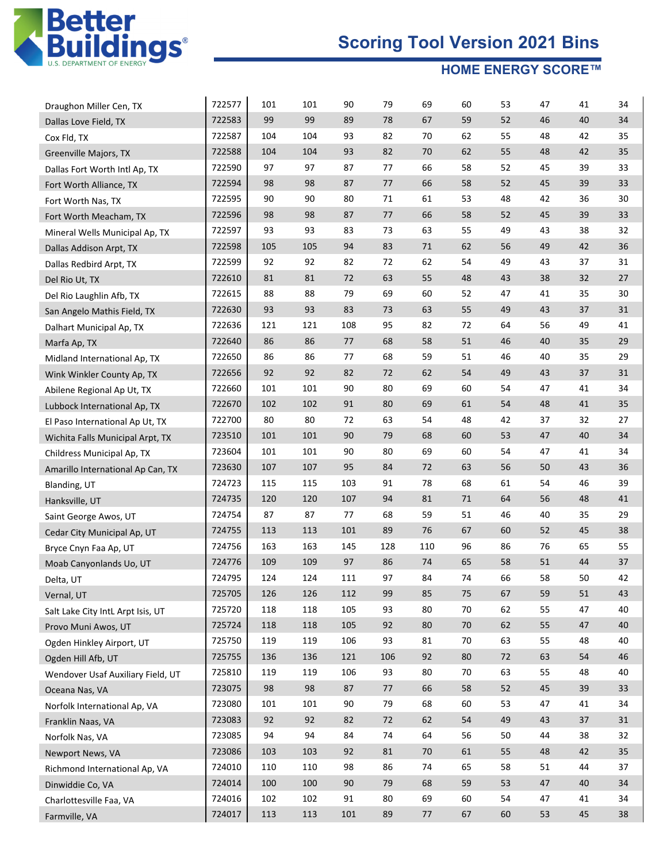

| Draughon Miller Cen, TX           | 722577 | 101 | 101 | 90  | 79  | 69  | 60 | 53 | 47 | 41 | 34 |
|-----------------------------------|--------|-----|-----|-----|-----|-----|----|----|----|----|----|
| Dallas Love Field, TX             | 722583 | 99  | 99  | 89  | 78  | 67  | 59 | 52 | 46 | 40 | 34 |
| Cox Fld, TX                       | 722587 | 104 | 104 | 93  | 82  | 70  | 62 | 55 | 48 | 42 | 35 |
| Greenville Majors, TX             | 722588 | 104 | 104 | 93  | 82  | 70  | 62 | 55 | 48 | 42 | 35 |
| Dallas Fort Worth Intl Ap, TX     | 722590 | 97  | 97  | 87  | 77  | 66  | 58 | 52 | 45 | 39 | 33 |
| Fort Worth Alliance, TX           | 722594 | 98  | 98  | 87  | 77  | 66  | 58 | 52 | 45 | 39 | 33 |
| Fort Worth Nas, TX                | 722595 | 90  | 90  | 80  | 71  | 61  | 53 | 48 | 42 | 36 | 30 |
| Fort Worth Meacham, TX            | 722596 | 98  | 98  | 87  | 77  | 66  | 58 | 52 | 45 | 39 | 33 |
| Mineral Wells Municipal Ap, TX    | 722597 | 93  | 93  | 83  | 73  | 63  | 55 | 49 | 43 | 38 | 32 |
| Dallas Addison Arpt, TX           | 722598 | 105 | 105 | 94  | 83  | 71  | 62 | 56 | 49 | 42 | 36 |
| Dallas Redbird Arpt, TX           | 722599 | 92  | 92  | 82  | 72  | 62  | 54 | 49 | 43 | 37 | 31 |
| Del Rio Ut, TX                    | 722610 | 81  | 81  | 72  | 63  | 55  | 48 | 43 | 38 | 32 | 27 |
| Del Rio Laughlin Afb, TX          | 722615 | 88  | 88  | 79  | 69  | 60  | 52 | 47 | 41 | 35 | 30 |
| San Angelo Mathis Field, TX       | 722630 | 93  | 93  | 83  | 73  | 63  | 55 | 49 | 43 | 37 | 31 |
| Dalhart Municipal Ap, TX          | 722636 | 121 | 121 | 108 | 95  | 82  | 72 | 64 | 56 | 49 | 41 |
| Marfa Ap, TX                      | 722640 | 86  | 86  | 77  | 68  | 58  | 51 | 46 | 40 | 35 | 29 |
| Midland International Ap, TX      | 722650 | 86  | 86  | 77  | 68  | 59  | 51 | 46 | 40 | 35 | 29 |
| Wink Winkler County Ap, TX        | 722656 | 92  | 92  | 82  | 72  | 62  | 54 | 49 | 43 | 37 | 31 |
| Abilene Regional Ap Ut, TX        | 722660 | 101 | 101 | 90  | 80  | 69  | 60 | 54 | 47 | 41 | 34 |
| Lubbock International Ap, TX      | 722670 | 102 | 102 | 91  | 80  | 69  | 61 | 54 | 48 | 41 | 35 |
| El Paso International Ap Ut, TX   | 722700 | 80  | 80  | 72  | 63  | 54  | 48 | 42 | 37 | 32 | 27 |
| Wichita Falls Municipal Arpt, TX  | 723510 | 101 | 101 | 90  | 79  | 68  | 60 | 53 | 47 | 40 | 34 |
| Childress Municipal Ap, TX        | 723604 | 101 | 101 | 90  | 80  | 69  | 60 | 54 | 47 | 41 | 34 |
| Amarillo International Ap Can, TX | 723630 | 107 | 107 | 95  | 84  | 72  | 63 | 56 | 50 | 43 | 36 |
| Blanding, UT                      | 724723 | 115 | 115 | 103 | 91  | 78  | 68 | 61 | 54 | 46 | 39 |
| Hanksville, UT                    | 724735 | 120 | 120 | 107 | 94  | 81  | 71 | 64 | 56 | 48 | 41 |
| Saint George Awos, UT             | 724754 | 87  | 87  | 77  | 68  | 59  | 51 | 46 | 40 | 35 | 29 |
| Cedar City Municipal Ap, UT       | 724755 | 113 | 113 | 101 | 89  | 76  | 67 | 60 | 52 | 45 | 38 |
| Bryce Cnyn Faa Ap, UT             | 724756 | 163 | 163 | 145 | 128 | 110 | 96 | 86 | 76 | 65 | 55 |
| Moab Canyonlands Uo, UT           | 724776 | 109 | 109 | 97  | 86  | 74  | 65 | 58 | 51 | 44 | 37 |
| Delta, UT                         | 724795 | 124 | 124 | 111 | 97  | 84  | 74 | 66 | 58 | 50 | 42 |
| Vernal, UT                        | 725705 | 126 | 126 | 112 | 99  | 85  | 75 | 67 | 59 | 51 | 43 |
| Salt Lake City IntL Arpt Isis, UT | 725720 | 118 | 118 | 105 | 93  | 80  | 70 | 62 | 55 | 47 | 40 |
| Provo Muni Awos, UT               | 725724 | 118 | 118 | 105 | 92  | 80  | 70 | 62 | 55 | 47 | 40 |
| Ogden Hinkley Airport, UT         | 725750 | 119 | 119 | 106 | 93  | 81  | 70 | 63 | 55 | 48 | 40 |
| Ogden Hill Afb, UT                | 725755 | 136 | 136 | 121 | 106 | 92  | 80 | 72 | 63 | 54 | 46 |
| Wendover Usaf Auxiliary Field, UT | 725810 | 119 | 119 | 106 | 93  | 80  | 70 | 63 | 55 | 48 | 40 |
| Oceana Nas, VA                    | 723075 | 98  | 98  | 87  | 77  | 66  | 58 | 52 | 45 | 39 | 33 |
| Norfolk International Ap, VA      | 723080 | 101 | 101 | 90  | 79  | 68  | 60 | 53 | 47 | 41 | 34 |
| Franklin Naas, VA                 | 723083 | 92  | 92  | 82  | 72  | 62  | 54 | 49 | 43 | 37 | 31 |
| Norfolk Nas, VA                   | 723085 | 94  | 94  | 84  | 74  | 64  | 56 | 50 | 44 | 38 | 32 |
| Newport News, VA                  | 723086 | 103 | 103 | 92  | 81  | 70  | 61 | 55 | 48 | 42 | 35 |
| Richmond International Ap, VA     | 724010 | 110 | 110 | 98  | 86  | 74  | 65 | 58 | 51 | 44 | 37 |
| Dinwiddie Co, VA                  | 724014 | 100 | 100 | 90  | 79  | 68  | 59 | 53 | 47 | 40 | 34 |
| Charlottesville Faa, VA           | 724016 | 102 | 102 | 91  | 80  | 69  | 60 | 54 | 47 | 41 | 34 |
| Farmville, VA                     | 724017 | 113 | 113 | 101 | 89  | 77  | 67 | 60 | 53 | 45 | 38 |
|                                   |        |     |     |     |     |     |    |    |    |    |    |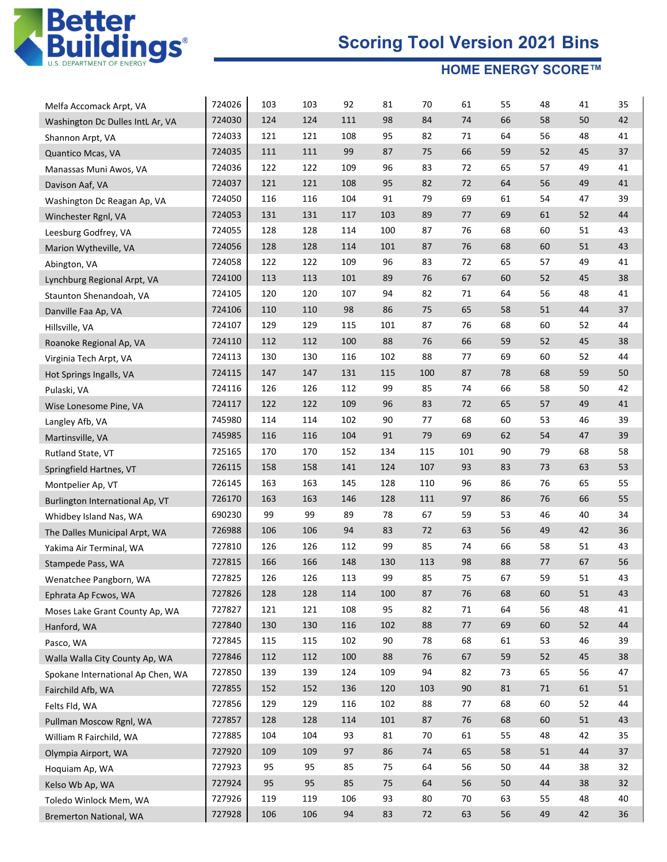

| Melfa Accomack Arpt, VA           | 724026 | 103 | 103 | 92  | 81  | 70  | 61  | 55 | 48     | 41 | 35 |
|-----------------------------------|--------|-----|-----|-----|-----|-----|-----|----|--------|----|----|
| Washington Dc Dulles IntL Ar, VA  | 724030 | 124 | 124 | 111 | 98  | 84  | 74  | 66 | 58     | 50 | 42 |
| Shannon Arpt, VA                  | 724033 | 121 | 121 | 108 | 95  | 82  | 71  | 64 | 56     | 48 | 41 |
| Quantico Mcas, VA                 | 724035 | 111 | 111 | 99  | 87  | 75  | 66  | 59 | 52     | 45 | 37 |
| Manassas Muni Awos, VA            | 724036 | 122 | 122 | 109 | 96  | 83  | 72  | 65 | 57     | 49 | 41 |
| Davison Aaf, VA                   | 724037 | 121 | 121 | 108 | 95  | 82  | 72  | 64 | 56     | 49 | 41 |
| Washington Dc Reagan Ap, VA       | 724050 | 116 | 116 | 104 | 91  | 79  | 69  | 61 | 54     | 47 | 39 |
| Winchester Rgnl, VA               | 724053 | 131 | 131 | 117 | 103 | 89  | 77  | 69 | 61     | 52 | 44 |
| Leesburg Godfrey, VA              | 724055 | 128 | 128 | 114 | 100 | 87  | 76  | 68 | 60     | 51 | 43 |
| Marion Wytheville, VA             | 724056 | 128 | 128 | 114 | 101 | 87  | 76  | 68 | 60     | 51 | 43 |
| Abington, VA                      | 724058 | 122 | 122 | 109 | 96  | 83  | 72  | 65 | 57     | 49 | 41 |
| Lynchburg Regional Arpt, VA       | 724100 | 113 | 113 | 101 | 89  | 76  | 67  | 60 | 52     | 45 | 38 |
| Staunton Shenandoah, VA           | 724105 | 120 | 120 | 107 | 94  | 82  | 71  | 64 | 56     | 48 | 41 |
| Danville Faa Ap, VA               | 724106 | 110 | 110 | 98  | 86  | 75  | 65  | 58 | 51     | 44 | 37 |
| Hillsville, VA                    | 724107 | 129 | 129 | 115 | 101 | 87  | 76  | 68 | 60     | 52 | 44 |
| Roanoke Regional Ap, VA           | 724110 | 112 | 112 | 100 | 88  | 76  | 66  | 59 | 52     | 45 | 38 |
| Virginia Tech Arpt, VA            | 724113 | 130 | 130 | 116 | 102 | 88  | 77  | 69 | 60     | 52 | 44 |
| Hot Springs Ingalls, VA           | 724115 | 147 | 147 | 131 | 115 | 100 | 87  | 78 | 68     | 59 | 50 |
| Pulaski, VA                       | 724116 | 126 | 126 | 112 | 99  | 85  | 74  | 66 | 58     | 50 | 42 |
| Wise Lonesome Pine, VA            | 724117 | 122 | 122 | 109 | 96  | 83  | 72  | 65 | 57     | 49 | 41 |
| Langley Afb, VA                   | 745980 | 114 | 114 | 102 | 90  | 77  | 68  | 60 | 53     | 46 | 39 |
| Martinsville, VA                  | 745985 | 116 | 116 | 104 | 91  | 79  | 69  | 62 | 54     | 47 | 39 |
| Rutland State, VT                 | 725165 | 170 | 170 | 152 | 134 | 115 | 101 | 90 | 79     | 68 | 58 |
| Springfield Hartnes, VT           | 726115 | 158 | 158 | 141 | 124 | 107 | 93  | 83 | 73     | 63 | 53 |
| Montpelier Ap, VT                 | 726145 | 163 | 163 | 145 | 128 | 110 | 96  | 86 | 76     | 65 | 55 |
| Burlington International Ap, VT   | 726170 | 163 | 163 | 146 | 128 | 111 | 97  | 86 | 76     | 66 | 55 |
| Whidbey Island Nas, WA            | 690230 | 99  | 99  | 89  | 78  | 67  | 59  | 53 | 46     | 40 | 34 |
| The Dalles Municipal Arpt, WA     | 726988 | 106 | 106 | 94  | 83  | 72  | 63  | 56 | 49     | 42 | 36 |
| Yakima Air Terminal, WA           | 727810 | 126 | 126 | 112 | 99  | 85  | 74  | 66 | 58     | 51 | 43 |
| Stampede Pass, WA                 | 727815 | 166 | 166 | 148 | 130 | 113 | 98  | 88 | 77     | 67 | 56 |
| Wenatchee Pangborn, WA            | 727825 | 126 | 126 | 113 | 99  | 85  | 75  | 67 | 59     | 51 | 43 |
| Ephrata Ap Fcwos, WA              | 727826 | 128 | 128 | 114 | 100 | 87  | 76  | 68 | 60     | 51 | 43 |
| Moses Lake Grant County Ap, WA    | 727827 | 121 | 121 | 108 | 95  | 82  | 71  | 64 | 56     | 48 | 41 |
| Hanford, WA                       | 727840 | 130 | 130 | 116 | 102 | 88  | 77  | 69 | 60     | 52 | 44 |
| Pasco, WA                         | 727845 | 115 | 115 | 102 | 90  | 78  | 68  | 61 | 53     | 46 | 39 |
| Walla Walla City County Ap, WA    | 727846 | 112 | 112 | 100 | 88  | 76  | 67  | 59 | 52     | 45 | 38 |
| Spokane International Ap Chen, WA | 727850 | 139 | 139 | 124 | 109 | 94  | 82  | 73 | 65     | 56 | 47 |
| Fairchild Afb, WA                 | 727855 | 152 | 152 | 136 | 120 | 103 | 90  | 81 | $71\,$ | 61 | 51 |
| Felts Fld, WA                     | 727856 | 129 | 129 | 116 | 102 | 88  | 77  | 68 | 60     | 52 | 44 |
| Pullman Moscow Rgnl, WA           | 727857 | 128 | 128 | 114 | 101 | 87  | 76  | 68 | 60     | 51 | 43 |
| William R Fairchild, WA           | 727885 | 104 | 104 | 93  | 81  | 70  | 61  | 55 | 48     | 42 | 35 |
| Olympia Airport, WA               | 727920 | 109 | 109 | 97  | 86  | 74  | 65  | 58 | 51     | 44 | 37 |
| Hoquiam Ap, WA                    | 727923 | 95  | 95  | 85  | 75  | 64  | 56  | 50 | 44     | 38 | 32 |
| Kelso Wb Ap, WA                   | 727924 | 95  | 95  | 85  | 75  | 64  | 56  | 50 | 44     | 38 | 32 |
| Toledo Winlock Mem, WA            | 727926 | 119 | 119 | 106 | 93  | 80  | 70  | 63 | 55     | 48 | 40 |
| Bremerton National, WA            | 727928 | 106 | 106 | 94  | 83  | 72  | 63  | 56 | 49     | 42 | 36 |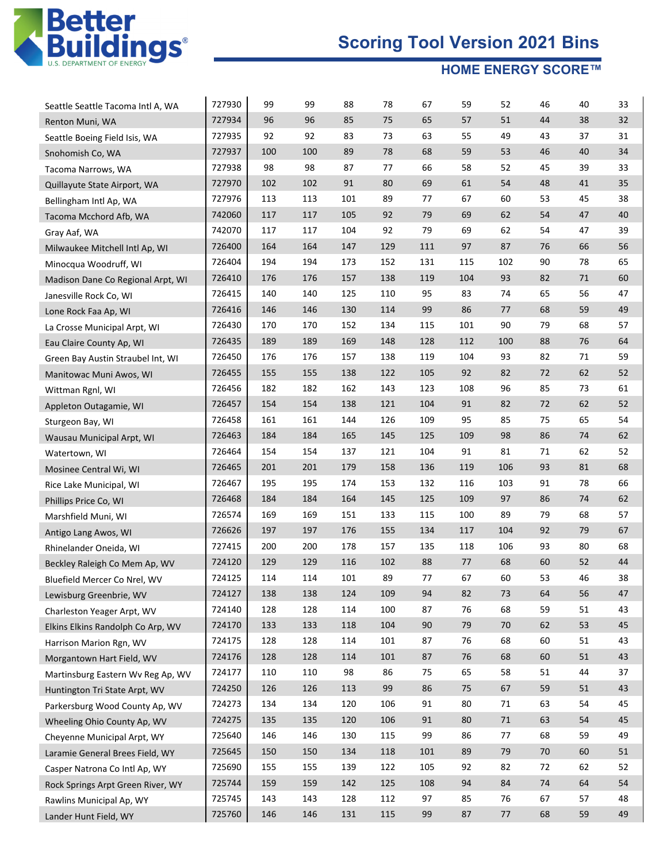

| Seattle Seattle Tacoma Intl A, WA | 727930 | 99  | 99  | 88  | 78  | 67  | 59  | 52  | 46 | 40 | 33 |
|-----------------------------------|--------|-----|-----|-----|-----|-----|-----|-----|----|----|----|
| Renton Muni, WA                   | 727934 | 96  | 96  | 85  | 75  | 65  | 57  | 51  | 44 | 38 | 32 |
| Seattle Boeing Field Isis, WA     | 727935 | 92  | 92  | 83  | 73  | 63  | 55  | 49  | 43 | 37 | 31 |
| Snohomish Co, WA                  | 727937 | 100 | 100 | 89  | 78  | 68  | 59  | 53  | 46 | 40 | 34 |
| Tacoma Narrows, WA                | 727938 | 98  | 98  | 87  | 77  | 66  | 58  | 52  | 45 | 39 | 33 |
| Quillayute State Airport, WA      | 727970 | 102 | 102 | 91  | 80  | 69  | 61  | 54  | 48 | 41 | 35 |
| Bellingham Intl Ap, WA            | 727976 | 113 | 113 | 101 | 89  | 77  | 67  | 60  | 53 | 45 | 38 |
| Tacoma Mcchord Afb, WA            | 742060 | 117 | 117 | 105 | 92  | 79  | 69  | 62  | 54 | 47 | 40 |
| Gray Aaf, WA                      | 742070 | 117 | 117 | 104 | 92  | 79  | 69  | 62  | 54 | 47 | 39 |
| Milwaukee Mitchell Intl Ap, WI    | 726400 | 164 | 164 | 147 | 129 | 111 | 97  | 87  | 76 | 66 | 56 |
| Minocqua Woodruff, WI             | 726404 | 194 | 194 | 173 | 152 | 131 | 115 | 102 | 90 | 78 | 65 |
| Madison Dane Co Regional Arpt, WI | 726410 | 176 | 176 | 157 | 138 | 119 | 104 | 93  | 82 | 71 | 60 |
| Janesville Rock Co, WI            | 726415 | 140 | 140 | 125 | 110 | 95  | 83  | 74  | 65 | 56 | 47 |
| Lone Rock Faa Ap, WI              | 726416 | 146 | 146 | 130 | 114 | 99  | 86  | 77  | 68 | 59 | 49 |
| La Crosse Municipal Arpt, WI      | 726430 | 170 | 170 | 152 | 134 | 115 | 101 | 90  | 79 | 68 | 57 |
| Eau Claire County Ap, WI          | 726435 | 189 | 189 | 169 | 148 | 128 | 112 | 100 | 88 | 76 | 64 |
| Green Bay Austin Straubel Int, WI | 726450 | 176 | 176 | 157 | 138 | 119 | 104 | 93  | 82 | 71 | 59 |
| Manitowac Muni Awos, WI           | 726455 | 155 | 155 | 138 | 122 | 105 | 92  | 82  | 72 | 62 | 52 |
| Wittman Rgnl, WI                  | 726456 | 182 | 182 | 162 | 143 | 123 | 108 | 96  | 85 | 73 | 61 |
| Appleton Outagamie, WI            | 726457 | 154 | 154 | 138 | 121 | 104 | 91  | 82  | 72 | 62 | 52 |
| Sturgeon Bay, WI                  | 726458 | 161 | 161 | 144 | 126 | 109 | 95  | 85  | 75 | 65 | 54 |
| Wausau Municipal Arpt, WI         | 726463 | 184 | 184 | 165 | 145 | 125 | 109 | 98  | 86 | 74 | 62 |
| Watertown, WI                     | 726464 | 154 | 154 | 137 | 121 | 104 | 91  | 81  | 71 | 62 | 52 |
| Mosinee Central Wi, WI            | 726465 | 201 | 201 | 179 | 158 | 136 | 119 | 106 | 93 | 81 | 68 |
| Rice Lake Municipal, WI           | 726467 | 195 | 195 | 174 | 153 | 132 | 116 | 103 | 91 | 78 | 66 |
| Phillips Price Co, WI             | 726468 | 184 | 184 | 164 | 145 | 125 | 109 | 97  | 86 | 74 | 62 |
| Marshfield Muni, WI               | 726574 | 169 | 169 | 151 | 133 | 115 | 100 | 89  | 79 | 68 | 57 |
| Antigo Lang Awos, WI              | 726626 | 197 | 197 | 176 | 155 | 134 | 117 | 104 | 92 | 79 | 67 |
| Rhinelander Oneida, WI            | 727415 | 200 | 200 | 178 | 157 | 135 | 118 | 106 | 93 | 80 | 68 |
| Beckley Raleigh Co Mem Ap, WV     | 724120 | 129 | 129 | 116 | 102 | 88  | 77  | 68  | 60 | 52 | 44 |
| Bluefield Mercer Co Nrel, WV      | 724125 | 114 | 114 | 101 | 89  | 77  | 67  | 60  | 53 | 46 | 38 |
| Lewisburg Greenbrie, WV           | 724127 | 138 | 138 | 124 | 109 | 94  | 82  | 73  | 64 | 56 | 47 |
| Charleston Yeager Arpt, WV        | 724140 | 128 | 128 | 114 | 100 | 87  | 76  | 68  | 59 | 51 | 43 |
| Elkins Elkins Randolph Co Arp, WV | 724170 | 133 | 133 | 118 | 104 | 90  | 79  | 70  | 62 | 53 | 45 |
| Harrison Marion Rgn, WV           | 724175 | 128 | 128 | 114 | 101 | 87  | 76  | 68  | 60 | 51 | 43 |
| Morgantown Hart Field, WV         | 724176 | 128 | 128 | 114 | 101 | 87  | 76  | 68  | 60 | 51 | 43 |
| Martinsburg Eastern Wv Reg Ap, WV | 724177 | 110 | 110 | 98  | 86  | 75  | 65  | 58  | 51 | 44 | 37 |
| Huntington Tri State Arpt, WV     | 724250 | 126 | 126 | 113 | 99  | 86  | 75  | 67  | 59 | 51 | 43 |
| Parkersburg Wood County Ap, WV    | 724273 | 134 | 134 | 120 | 106 | 91  | 80  | 71  | 63 | 54 | 45 |
| Wheeling Ohio County Ap, WV       | 724275 | 135 | 135 | 120 | 106 | 91  | 80  | 71  | 63 | 54 | 45 |
| Cheyenne Municipal Arpt, WY       | 725640 | 146 | 146 | 130 | 115 | 99  | 86  | 77  | 68 | 59 | 49 |
| Laramie General Brees Field, WY   | 725645 | 150 | 150 | 134 | 118 | 101 | 89  | 79  | 70 | 60 | 51 |
| Casper Natrona Co Intl Ap, WY     | 725690 | 155 | 155 | 139 | 122 | 105 | 92  | 82  | 72 | 62 | 52 |
| Rock Springs Arpt Green River, WY | 725744 | 159 | 159 | 142 | 125 | 108 | 94  | 84  | 74 | 64 | 54 |
| Rawlins Municipal Ap, WY          | 725745 | 143 | 143 | 128 | 112 | 97  | 85  | 76  | 67 | 57 | 48 |
| Lander Hunt Field, WY             | 725760 | 146 | 146 | 131 | 115 | 99  | 87  | 77  | 68 | 59 | 49 |
|                                   |        |     |     |     |     |     |     |     |    |    |    |